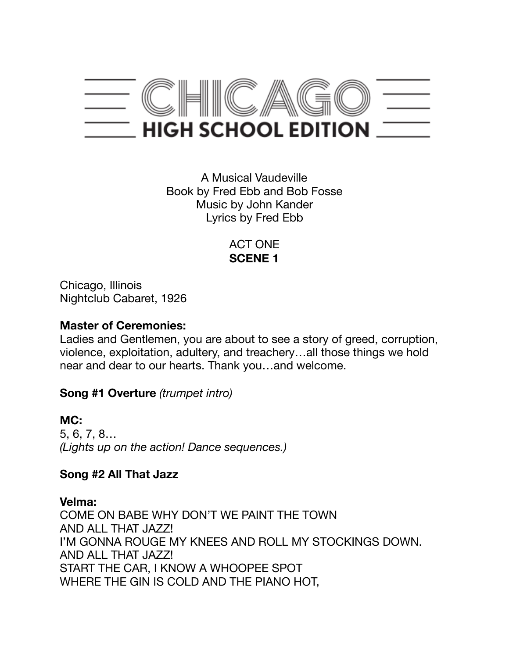

A Musical Vaudeville Book by Fred Ebb and Bob Fosse Music by John Kander Lyrics by Fred Ebb

> ACT ONE **SCENE 1**

Chicago, Illinois Nightclub Cabaret, 1926

#### **Master of Ceremonies:**

Ladies and Gentlemen, you are about to see a story of greed, corruption, violence, exploitation, adultery, and treachery…all those things we hold near and dear to our hearts. Thank you…and welcome.

#### **Song #1 Overture** *(trumpet intro)*

#### **MC:**

5, 6, 7, 8… *(Lights up on the action! Dance sequences.)* 

## **Song #2 All That Jazz**

**Velma:**  COME ON BABE WHY DON'T WE PAINT THE TOWN AND ALL THAT JAZZ! I'M GONNA ROUGE MY KNEES AND ROLL MY STOCKINGS DOWN. AND ALL THAT JAZZ! START THE CAR, I KNOW A WHOOPEE SPOT WHERE THE GIN IS COLD AND THE PIANO HOT,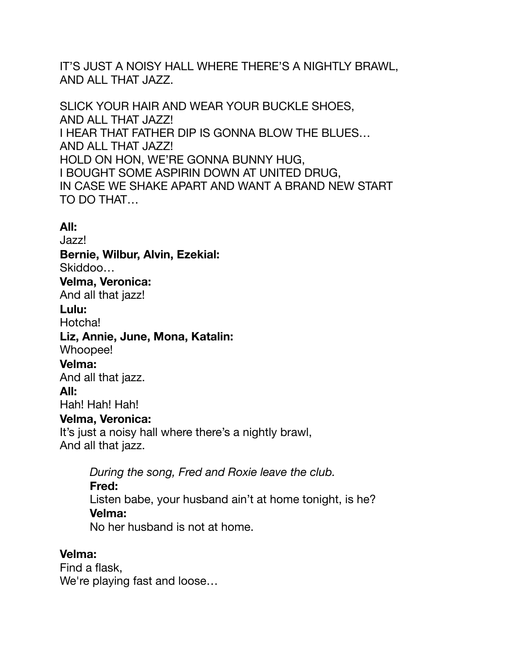IT'S JUST A NOISY HALL WHERE THERE'S A NIGHTLY BRAWL, AND ALL THAT JAZZ.

SLICK YOUR HAIR AND WEAR YOUR BUCKLE SHOES, AND ALL THAT JAZZ! I HEAR THAT FATHER DIP IS GONNA BLOW THE BLUES… AND ALL THAT JAZZ! HOLD ON HON, WE'RE GONNA BUNNY HUG, I BOUGHT SOME ASPIRIN DOWN AT UNITED DRUG, IN CASE WE SHAKE APART AND WANT A BRAND NEW START TO DO THAT…

#### **All:**

Jazz! **Bernie, Wilbur, Alvin, Ezekial:**  Skiddoo… **Velma, Veronica:**  And all that jazz! **Lulu:**  Hotcha! **Liz, Annie, June, Mona, Katalin:**  Whoopee! **Velma:**  And all that jazz. **All:**  Hah! Hah! Hah! **Velma, Veronica:**  It's just a noisy hall where there's a nightly brawl, And all that jazz.

> *During the song, Fred and Roxie leave the club.*  **Fred:**  Listen babe, your husband ain't at home tonight, is he? **Velma:**  No her husband is not at home.

#### **Velma:**

Find a flask, We're playing fast and loose…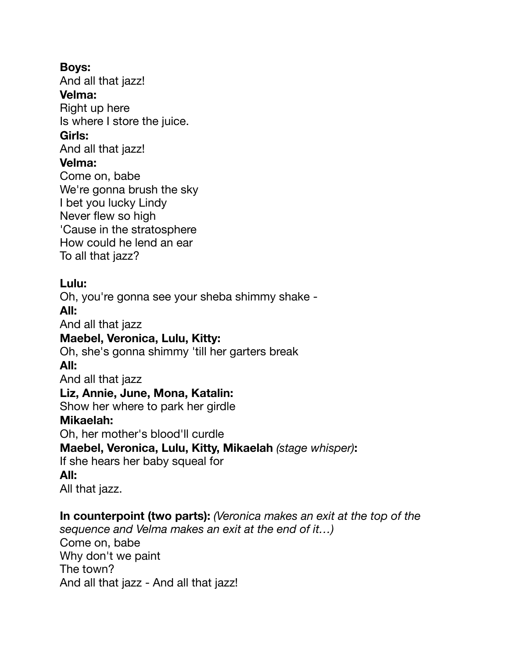#### **Boys:**

And all that jazz!

#### **Velma:**

Right up here Is where I store the juice.

## **Girls:**

And all that jazz!

## **Velma:**

Come on, babe We're gonna brush the sky I bet you lucky Lindy Never flew so high 'Cause in the stratosphere How could he lend an ear To all that jazz?

## **Lulu:**

Oh, you're gonna see your sheba shimmy shake - **All:**  And all that jazz **Maebel, Veronica, Lulu, Kitty:**  Oh, she's gonna shimmy 'till her garters break **All:**  And all that jazz **Liz, Annie, June, Mona, Katalin:**  Show her where to park her girdle **Mikaelah:**  Oh, her mother's blood'll curdle **Maebel, Veronica, Lulu, Kitty, Mikaelah** *(stage whisper)***:** If she hears her baby squeal for **All:**  All that jazz.

**In counterpoint (two parts):** *(Veronica makes an exit at the top of the sequence and Velma makes an exit at the end of it…)* Come on, babe Why don't we paint The town? And all that jazz - And all that jazz!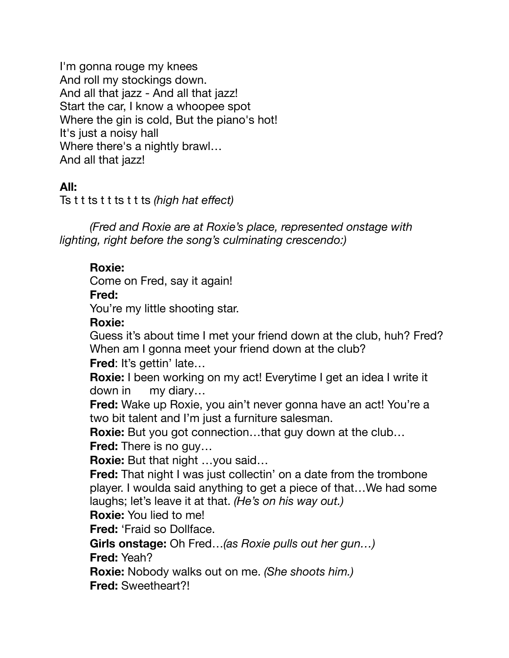I'm gonna rouge my knees And roll my stockings down. And all that jazz - And all that jazz! Start the car, I know a whoopee spot Where the gin is cold, But the piano's hot! It's just a noisy hall Where there's a nightly brawl… And all that jazz!

#### **All:**

Ts t t ts t t ts t t ts *(high hat effect)* 

*(Fred and Roxie are at Roxie's place, represented onstage with lighting, right before the song's culminating crescendo:)* 

#### **Roxie:**

Come on Fred, say it again!

#### **Fred:**

You're my little shooting star.

#### **Roxie:**

Guess it's about time I met your friend down at the club, huh? Fred? When am I gonna meet your friend down at the club?

**Fred**: It's gettin' late…

**Roxie:** I been working on my act! Everytime I get an idea I write it down in my diary…

**Fred:** Wake up Roxie, you ain't never gonna have an act! You're a two bit talent and I'm just a furniture salesman.

**Roxie:** But you got connection…that guy down at the club…

**Fred:** There is no guy…

**Roxie:** But that night …you said…

**Fred:** That night I was just collectin' on a date from the trombone player. I woulda said anything to get a piece of that…We had some laughs; let's leave it at that. *(He's on his way out.)*

**Roxie:** You lied to me!

**Fred:** 'Fraid so Dollface.

**Girls onstage:** Oh Fred…*(as Roxie pulls out her gun…)*

**Fred:** Yeah?

**Roxie:** Nobody walks out on me. *(She shoots him.)* 

**Fred:** Sweetheart?!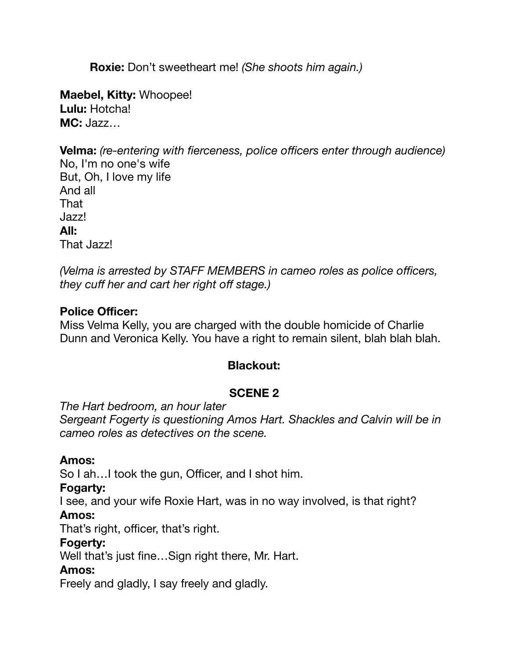**Roxie:** Don't sweetheart me! *(She shoots him again.)*

**Maebel, Kitty:** Whoopee! **Lulu:** Hotcha! **MC:** Jazz…

**Velma:** *(re-entering with fierceness, police officers enter through audience)* No, I'm no one's wife But, Oh, I love my life And all That Jazz! **All:**  That Jazz!

*(Velma is arrested by STAFF MEMBERS in cameo roles as police officers, they cuff her and cart her right off stage.)* 

#### **Police Officer:**

Miss Velma Kelly, you are charged with the double homicide of Charlie Dunn and Veronica Kelly. You have a right to remain silent, blah blah blah.

## **Blackout:**

## **SCENE 2**

*The Hart bedroom, an hour later Sergeant Fogerty is questioning Amos Hart. Shackles and Calvin will be in cameo roles as detectives on the scene.* 

## **Amos:**

So I ah…I took the gun, Officer, and I shot him.

## **Fogarty:**

I see, and your wife Roxie Hart, was in no way involved, is that right?

## **Amos:**

That's right, officer, that's right.

## **Fogerty:**

Well that's just fine…Sign right there, Mr. Hart.

## **Amos:**

Freely and gladly, I say freely and gladly.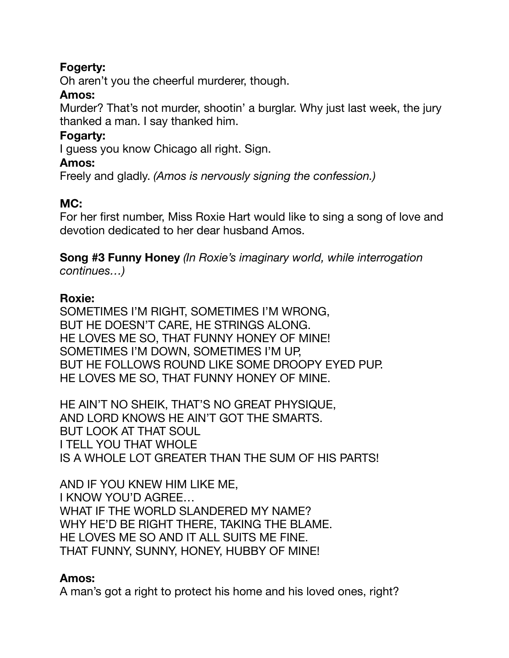## **Fogerty:**

Oh aren't you the cheerful murderer, though.

#### **Amos:**

Murder? That's not murder, shootin' a burglar. Why just last week, the jury thanked a man. I say thanked him.

## **Fogarty:**

I guess you know Chicago all right. Sign.

#### **Amos:**

Freely and gladly. *(Amos is nervously signing the confession.)* 

## **MC:**

For her first number, Miss Roxie Hart would like to sing a song of love and devotion dedicated to her dear husband Amos.

**Song #3 Funny Honey** *(In Roxie's imaginary world, while interrogation continues…)*

## **Roxie:**

SOMETIMES I'M RIGHT, SOMETIMES I'M WRONG, BUT HE DOESN'T CARE, HE STRINGS ALONG. HE LOVES ME SO, THAT FUNNY HONEY OF MINE! SOMETIMES I'M DOWN, SOMETIMES I'M UP, BUT HE FOLLOWS ROUND LIKE SOME DROOPY EYED PUP. HE LOVES ME SO, THAT FUNNY HONEY OF MINE.

HE AIN'T NO SHEIK, THAT'S NO GREAT PHYSIQUE, AND LORD KNOWS HE AIN'T GOT THE SMARTS. BUT LOOK AT THAT SOUL I TELL YOU THAT WHOLE IS A WHOLE LOT GREATER THAN THE SUM OF HIS PARTS!

AND IF YOU KNEW HIM LIKE ME, I KNOW YOU'D AGREE… WHAT IF THE WORLD SLANDERED MY NAME? WHY HE'D BE RIGHT THERE, TAKING THE BLAME. HE LOVES ME SO AND IT ALL SUITS ME FINE. THAT FUNNY, SUNNY, HONEY, HUBBY OF MINE!

# **Amos:**

A man's got a right to protect his home and his loved ones, right?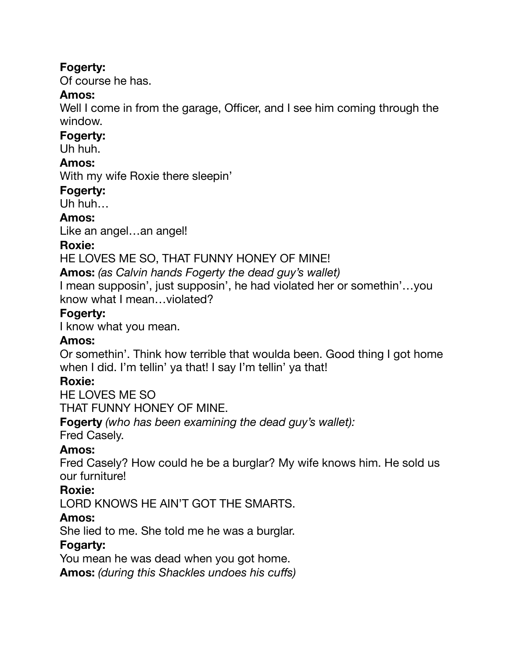## **Fogerty:**

Of course he has.

#### **Amos:**

Well I come in from the garage, Officer, and I see him coming through the window.

## **Fogerty:**

Uh huh.

## **Amos:**

With my wife Roxie there sleepin'

## **Fogerty:**

Uh huh…

## **Amos:**

Like an angel…an angel!

## **Roxie:**

HE LOVES ME SO, THAT FUNNY HONEY OF MINE!

**Amos:** *(as Calvin hands Fogerty the dead guy's wallet)*

I mean supposin', just supposin', he had violated her or somethin'…you know what I mean…violated?

## **Fogerty:**

I know what you mean.

## **Amos:**

Or somethin'. Think how terrible that woulda been. Good thing I got home when I did. I'm tellin' ya that! I say I'm tellin' ya that!

# **Roxie:**

HE LOVES ME SO THAT FUNNY HONEY OF MINE.

**Fogerty** *(who has been examining the dead guy's wallet):* 

Fred Casely.

# **Amos:**

Fred Casely? How could he be a burglar? My wife knows him. He sold us our furniture!

# **Roxie:**

LORD KNOWS HE AIN'T GOT THE SMARTS.

## **Amos:**

She lied to me. She told me he was a burglar.

## **Fogarty:**

You mean he was dead when you got home. **Amos:** *(during this Shackles undoes his cuffs)*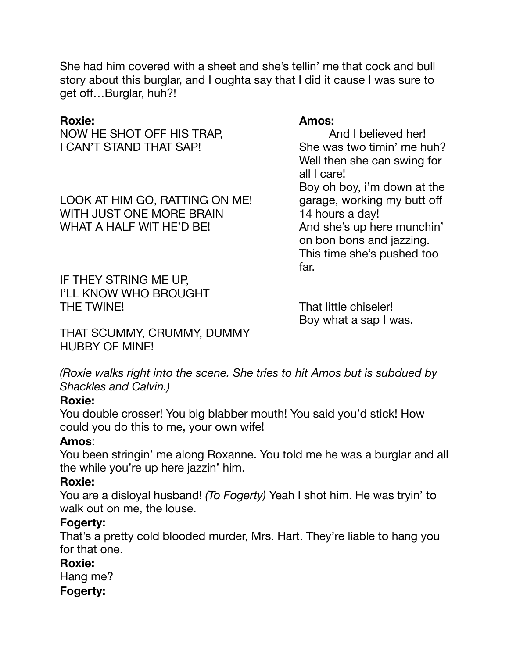She had him covered with a sheet and she's tellin' me that cock and bull story about this burglar, and I oughta say that I did it cause I was sure to get off…Burglar, huh?!

NOW HE SHOT OFF HIS TRAP, NOW HE SHOT OFF HIS TRAP, I CAN'T STAND THAT SAP! She was two timin' me huh?

LOOK AT HIM GO, RATTING ON ME! garage, working my butt off WITH JUST ONE MORE BRAIN **14 hours a day!** WHAT A HALF WIT HE'D BE! And she's up here munchin'

#### Roxie: **Amos: Amos: Amos:**

 Well then she can swing for all I care! Boy oh boy, i'm down at the on bon bons and jazzing. This time she's pushed too far.

IF THEY STRING ME UP, I'LL KNOW WHO BROUGHT THE TWINE! THE TWINE!

 Boy what a sap I was.

THAT SCUMMY, CRUMMY, DUMMY HUBBY OF MINE!

*(Roxie walks right into the scene. She tries to hit Amos but is subdued by Shackles and Calvin.)* 

#### **Roxie:**

You double crosser! You big blabber mouth! You said you'd stick! How could you do this to me, your own wife!

## **Amos**:

You been stringin' me along Roxanne. You told me he was a burglar and all the while you're up here jazzin' him.

#### **Roxie:**

You are a disloyal husband! *(To Fogerty)* Yeah I shot him. He was tryin' to walk out on me, the louse.

#### **Fogerty:**

That's a pretty cold blooded murder, Mrs. Hart. They're liable to hang you for that one.

#### **Roxie:**

Hang me?

## **Fogerty:**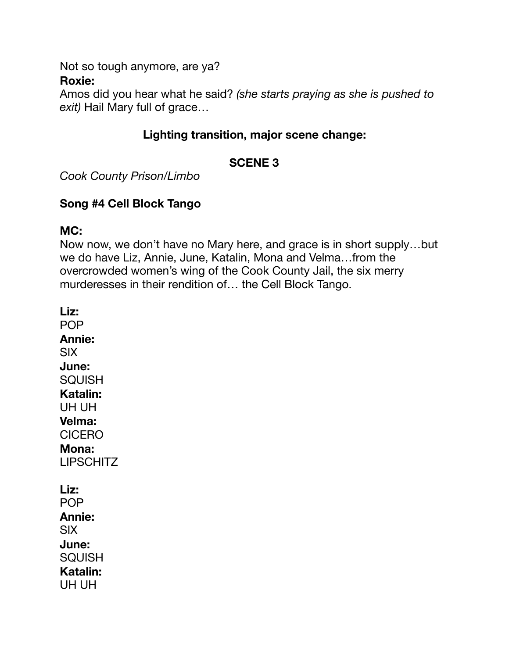Not so tough anymore, are ya?

#### **Roxie:**

Amos did you hear what he said? *(she starts praying as she is pushed to exit)* Hail Mary full of grace…

## **Lighting transition, major scene change:**

## **SCENE 3**

*Cook County Prison/Limbo* 

# **Song #4 Cell Block Tango**

## **MC:**

Now now, we don't have no Mary here, and grace is in short supply…but we do have Liz, Annie, June, Katalin, Mona and Velma…from the overcrowded women's wing of the Cook County Jail, the six merry murderesses in their rendition of… the Cell Block Tango.

**Liz:**  POP **Annie:**  SIX **June: SQUISH Katalin:**  UH UH **Velma:**  CICERO **Mona:**  LIPSCHITZ **Liz:**  POP **Annie:**  SIX **June: SQUISH Katalin:** 

UH UH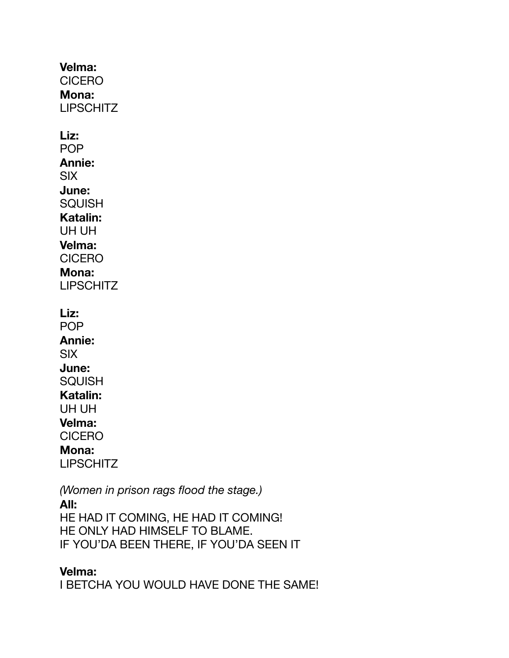**Velma:**  CICERO **Mona: LIPSCHITZ Liz:**  POP **Annie:**  SIX **June: SQUISH Katalin:**  UH UH **Velma:**  CICERO **Mona:**  LIPSCHITZ **Liz:**  POP **Annie:**  SIX **June: SQUISH Katalin:**  UH UH **Velma:**  CICERO **Mona:**  LIPSCHITZ

*(Women in prison rags flood the stage.)*  **All:**  HE HAD IT COMING, HE HAD IT COMING! HE ONLY HAD HIMSELF TO BLAME. IF YOU'DA BEEN THERE, IF YOU'DA SEEN IT

#### **Velma:**

I BETCHA YOU WOULD HAVE DONE THE SAME!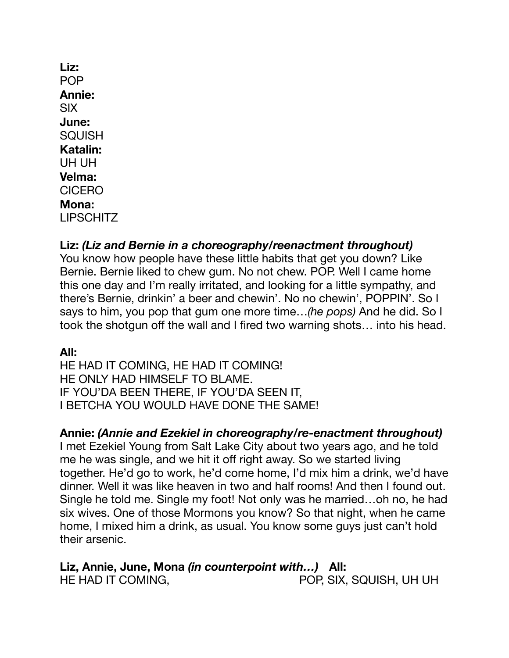| Liz:          |
|---------------|
| POP           |
| <b>Annie:</b> |
| SIX           |
| <b>June:</b>  |
| SQUISH        |
| Katalin:      |
| UH UH         |
| Velma:        |
| <b>CICERO</b> |
| Mona:         |
| LIPSCHITZ     |

## **Liz:** *(Liz and Bernie in a choreography/reenactment throughout)*

You know how people have these little habits that get you down? Like Bernie. Bernie liked to chew gum. No not chew. POP. Well I came home this one day and I'm really irritated, and looking for a little sympathy, and there's Bernie, drinkin' a beer and chewin'. No no chewin', POPPIN'. So I says to him, you pop that gum one more time…*(he pops)* And he did. So I took the shotgun off the wall and I fired two warning shots… into his head.

#### **All:**

HE HAD IT COMING, HE HAD IT COMING! HE ONLY HAD HIMSELF TO BLAME. IF YOU'DA BEEN THERE, IF YOU'DA SEEN IT, I BETCHA YOU WOULD HAVE DONE THE SAME!

## **Annie:** *(Annie and Ezekiel in choreography/re-enactment throughout)*

I met Ezekiel Young from Salt Lake City about two years ago, and he told me he was single, and we hit it off right away. So we started living together. He'd go to work, he'd come home, I'd mix him a drink, we'd have dinner. Well it was like heaven in two and half rooms! And then I found out. Single he told me. Single my foot! Not only was he married…oh no, he had six wives. One of those Mormons you know? So that night, when he came home, I mixed him a drink, as usual. You know some guys just can't hold their arsenic.

#### **Liz, Annie, June, Mona** *(in counterpoint with…)* **All:**  HE HAD IT COMING, THE HAD IT COMING,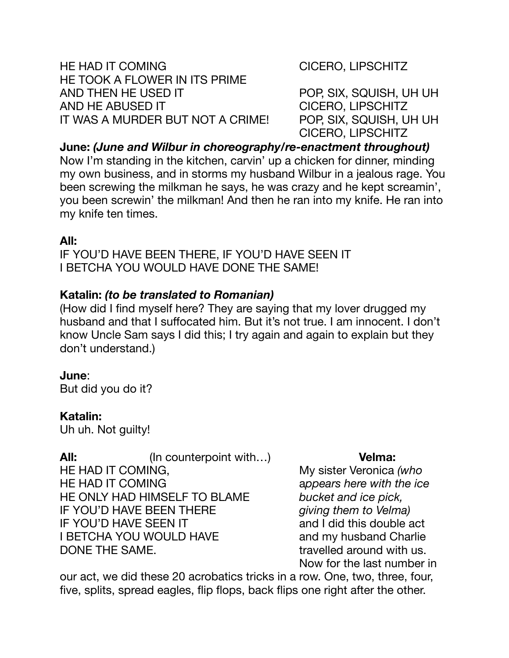HE HAD IT COMING CICERO, LIPSCHITZ HE TOOK A FLOWER IN ITS PRIME AND THEN HE USED IT **Example 20 POP, SIX, SQUISH, UH UH** AND HE ABUSED IT CICERO, LIPSCHITZ IT WAS A MURDER BUT NOT A CRIME! POP, SIX, SQUISH, UH UH

 CICERO, LIPSCHITZ

**June:** *(June and Wilbur in choreography/re-enactment throughout)* Now I'm standing in the kitchen, carvin' up a chicken for dinner, minding my own business, and in storms my husband Wilbur in a jealous rage. You been screwing the milkman he says, he was crazy and he kept screamin', you been screwin' the milkman! And then he ran into my knife. He ran into my knife ten times.

#### **All:**

IF YOU'D HAVE BEEN THERE, IF YOU'D HAVE SEEN IT I BETCHA YOU WOULD HAVE DONE THE SAME!

#### **Katalin:** *(to be translated to Romanian)*

(How did I find myself here? They are saying that my lover drugged my husband and that I suffocated him. But it's not true. I am innocent. I don't know Uncle Sam says I did this; I try again and again to explain but they don't understand.)

#### **June**:

But did you do it?

#### **Katalin:**

Uh uh. Not guilty!

**All:** (In counterpoint with…) **Velma:** HE HAD IT COMING, *MY Sister Veronica (who* HE HAD IT COMING *EXALLER SHEM EXAMPLES APPEARS here with the ice* HE ONLY HAD HIMSELF TO BLAME *bucket and ice pick,* IF YOU'D HAVE BEEN THERE *qiving them to Velma*) IF YOU'D HAVE SEEN IT and I did this double act I BETCHA YOU WOULD HAVE and my husband Charlie DONE THE SAME. The state of travelled around with us.

 Now for the last number in

our act, we did these 20 acrobatics tricks in a row. One, two, three, four, five, splits, spread eagles, flip flops, back flips one right after the other.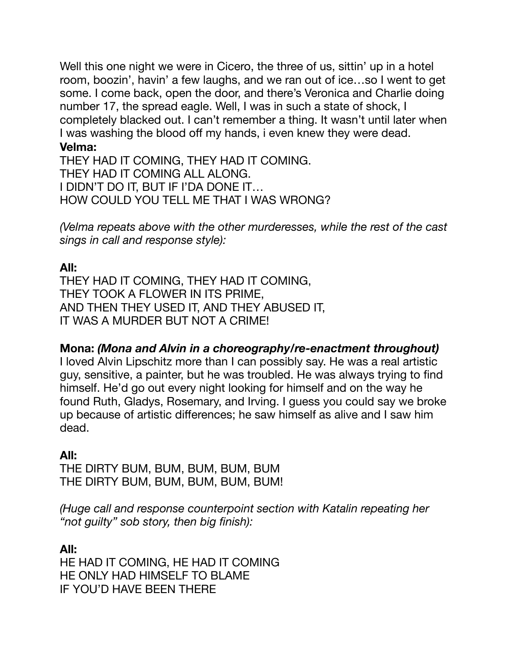Well this one night we were in Cicero, the three of us, sittin' up in a hotel room, boozin', havin' a few laughs, and we ran out of ice…so I went to get some. I come back, open the door, and there's Veronica and Charlie doing number 17, the spread eagle. Well, I was in such a state of shock, I completely blacked out. I can't remember a thing. It wasn't until later when I was washing the blood off my hands, i even knew they were dead.

#### **Velma:**

THEY HAD IT COMING, THEY HAD IT COMING. THEY HAD IT COMING ALL ALONG. I DIDN'T DO IT, BUT IF I'DA DONE IT… HOW COULD YOU TELL ME THAT I WAS WRONG?

*(Velma repeats above with the other murderesses, while the rest of the cast sings in call and response style):* 

#### **All:**

THEY HAD IT COMING, THEY HAD IT COMING, THEY TOOK A FLOWER IN ITS PRIME, AND THEN THEY USED IT, AND THEY ABUSED IT, IT WAS A MURDER BUT NOT A CRIME!

#### **Mona:** *(Mona and Alvin in a choreography/re-enactment throughout)*

I loved Alvin Lipschitz more than I can possibly say. He was a real artistic guy, sensitive, a painter, but he was troubled. He was always trying to find himself. He'd go out every night looking for himself and on the way he found Ruth, Gladys, Rosemary, and Irving. I guess you could say we broke up because of artistic differences; he saw himself as alive and I saw him dead.

#### **All:**

THE DIRTY BUM, BUM, BUM, BUM, BUM THE DIRTY BUM, BUM, BUM, BUM, BUM!

*(Huge call and response counterpoint section with Katalin repeating her "not guilty" sob story, then big finish):* 

**All:**  HE HAD IT COMING, HE HAD IT COMING HE ONLY HAD HIMSELF TO BLAME IF YOU'D HAVE BEEN THERE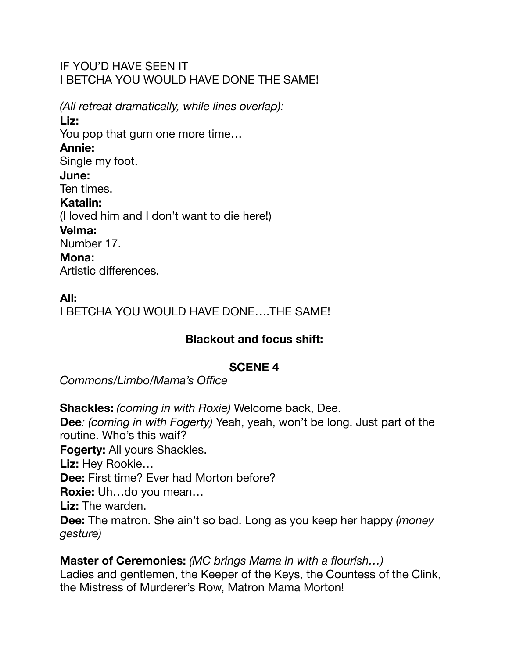IF YOU'D HAVE SEEN IT I BETCHA YOU WOULD HAVE DONE THE SAME!

*(All retreat dramatically, while lines overlap):*  **Liz:**  You pop that gum one more time… **Annie:**  Single my foot. **June:**  Ten times. **Katalin:**  (I loved him and I don't want to die here!) **Velma:**  Number 17. **Mona:**  Artistic differences.

#### **All:**  I BETCHA YOU WOULD HAVE DONE….THE SAME!

# **Blackout and focus shift:**

## **SCENE 4**

*Commons/Limbo/Mama's Office* 

**Shackles:** *(coming in with Roxie)* Welcome back, Dee. **Dee***: (coming in with Fogerty)* Yeah, yeah, won't be long. Just part of the routine. Who's this waif? **Fogerty:** All yours Shackles. **Liz:** Hey Rookie… **Dee:** First time? Ever had Morton before? **Roxie:** Uh…do you mean… **Liz:** The warden. **Dee:** The matron. She ain't so bad. Long as you keep her happy *(money gesture)*

**Master of Ceremonies:** *(MC brings Mama in with a flourish…)* Ladies and gentlemen, the Keeper of the Keys, the Countess of the Clink, the Mistress of Murderer's Row, Matron Mama Morton!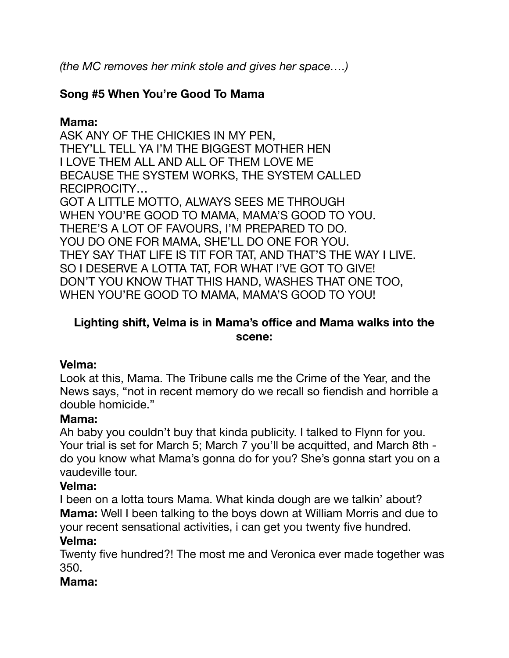*(the MC removes her mink stole and gives her space….)* 

## **Song #5 When You're Good To Mama**

#### **Mama:**

ASK ANY OF THE CHICKIES IN MY PEN, THEY'LL TELL YA I'M THE BIGGEST MOTHER HEN I LOVE THEM ALL AND ALL OF THEM LOVE ME BECAUSE THE SYSTEM WORKS, THE SYSTEM CALLED RECIPROCITY… GOT A LITTLE MOTTO, ALWAYS SEES ME THROUGH WHEN YOU'RE GOOD TO MAMA, MAMA'S GOOD TO YOU. THERE'S A LOT OF FAVOURS, I'M PREPARED TO DO. YOU DO ONE FOR MAMA, SHE'LL DO ONE FOR YOU. THEY SAY THAT LIFE IS TIT FOR TAT, AND THAT'S THE WAY I LIVE. SO I DESERVE A LOTTA TAT, FOR WHAT I'VE GOT TO GIVE! DON'T YOU KNOW THAT THIS HAND, WASHES THAT ONE TOO, WHEN YOU'RE GOOD TO MAMA, MAMA'S GOOD TO YOU!

#### **Lighting shift, Velma is in Mama's office and Mama walks into the scene:**

#### **Velma:**

Look at this, Mama. The Tribune calls me the Crime of the Year, and the News says, "not in recent memory do we recall so fiendish and horrible a double homicide."

#### **Mama:**

Ah baby you couldn't buy that kinda publicity. I talked to Flynn for you. Your trial is set for March 5; March 7 you'll be acquitted, and March 8th do you know what Mama's gonna do for you? She's gonna start you on a vaudeville tour.

#### **Velma:**

I been on a lotta tours Mama. What kinda dough are we talkin' about? **Mama:** Well I been talking to the boys down at William Morris and due to your recent sensational activities, i can get you twenty five hundred.

#### **Velma:**

Twenty five hundred?! The most me and Veronica ever made together was 350.

#### **Mama:**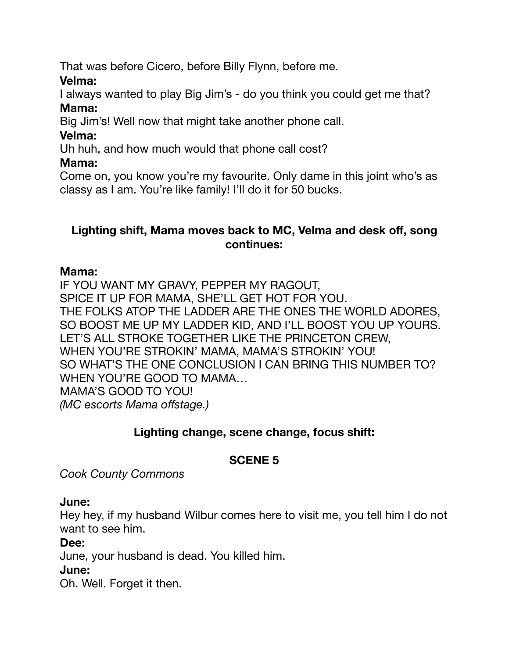That was before Cicero, before Billy Flynn, before me.

## **Velma:**

I always wanted to play Big Jim's - do you think you could get me that? **Mama:** 

Big Jim's! Well now that might take another phone call.

## **Velma:**

Uh huh, and how much would that phone call cost?

## **Mama:**

Come on, you know you're my favourite. Only dame in this joint who's as classy as I am. You're like family! I'll do it for 50 bucks.

# **Lighting shift, Mama moves back to MC, Velma and desk off, song continues:**

## **Mama:**

IF YOU WANT MY GRAVY, PEPPER MY RAGOUT, SPICE IT UP FOR MAMA, SHE'LL GET HOT FOR YOU. THE FOLKS ATOP THE LADDER ARE THE ONES THE WORLD ADORES, SO BOOST ME UP MY LADDER KID, AND I'LL BOOST YOU UP YOURS. LET'S ALL STROKE TOGETHER LIKE THE PRINCETON CREW, WHEN YOU'RE STROKIN' MAMA, MAMA'S STROKIN' YOU! SO WHAT'S THE ONE CONCLUSION I CAN BRING THIS NUMBER TO? WHEN YOU'RE GOOD TO MAMA… MAMA'S GOOD TO YOU! *(MC escorts Mama offstage.)* 

# **Lighting change, scene change, focus shift:**

# **SCENE 5**

*Cook County Commons* 

## **June:**

Hey hey, if my husband Wilbur comes here to visit me, you tell him I do not want to see him.

## **Dee:**

June, your husband is dead. You killed him.

## **June:**

Oh. Well. Forget it then.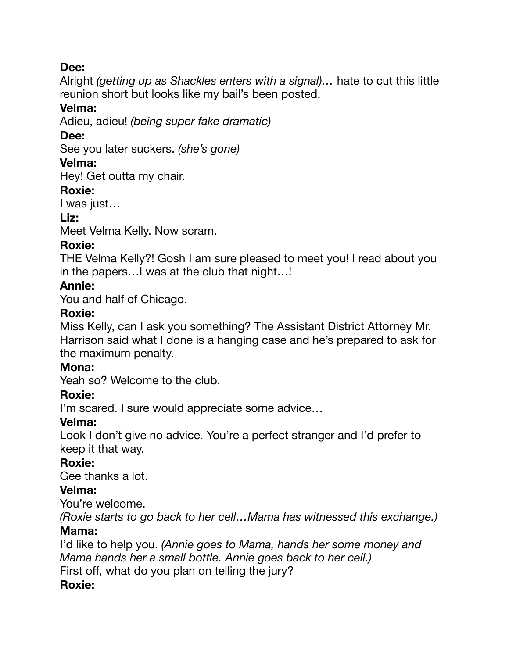#### **Dee:**

Alright *(getting up as Shackles enters with a signal)…* hate to cut this little reunion short but looks like my bail's been posted.

#### **Velma:**

Adieu, adieu! *(being super fake dramatic)*

#### **Dee:**

See you later suckers. *(she's gone)*

#### **Velma:**

Hey! Get outta my chair.

#### **Roxie:**

I was just…

## **Liz:**

Meet Velma Kelly. Now scram.

#### **Roxie:**

THE Velma Kelly?! Gosh I am sure pleased to meet you! I read about you in the papers…I was at the club that night…!

## **Annie:**

You and half of Chicago.

## **Roxie:**

Miss Kelly, can I ask you something? The Assistant District Attorney Mr. Harrison said what I done is a hanging case and he's prepared to ask for the maximum penalty.

## **Mona:**

Yeah so? Welcome to the club.

## **Roxie:**

I'm scared. I sure would appreciate some advice…

## **Velma:**

Look I don't give no advice. You're a perfect stranger and I'd prefer to keep it that way.

## **Roxie:**

Gee thanks a lot.

## **Velma:**

You're welcome.

*(Roxie starts to go back to her cell…Mama has witnessed this exchange.)* **Mama:** 

#### I'd like to help you. *(Annie goes to Mama, hands her some money and Mama hands her a small bottle. Annie goes back to her cell.)* First off, what do you plan on telling the jury?

## **Roxie:**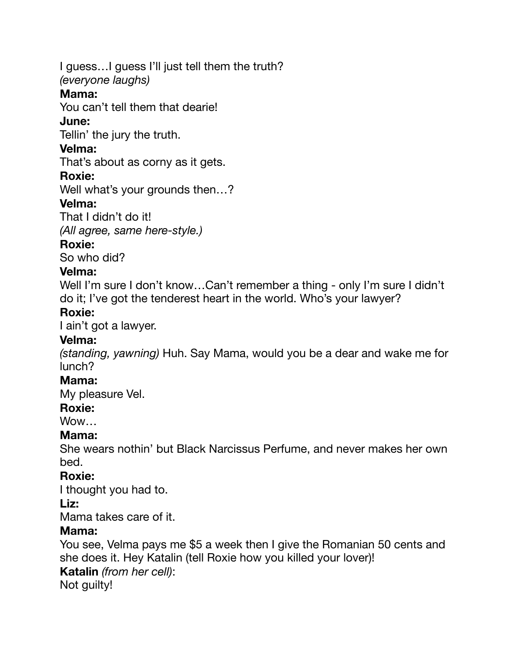I guess…I guess I'll just tell them the truth?

*(everyone laughs)* 

#### **Mama:**

You can't tell them that dearie!

## **June:**

Tellin' the jury the truth.

## **Velma:**

That's about as corny as it gets.

## **Roxie:**

Well what's your grounds then...?

## **Velma:**

That I didn't do it! *(All agree, same here-style.)*

# **Roxie:**

So who did?

## **Velma:**

Well I'm sure I don't know...Can't remember a thing - only I'm sure I didn't do it; I've got the tenderest heart in the world. Who's your lawyer?

# **Roxie:**

I ain't got a lawyer.

# **Velma:**

*(standing, yawning)* Huh. Say Mama, would you be a dear and wake me for lunch?

# **Mama:**

My pleasure Vel.

## **Roxie:**

Wow…

## **Mama:**

She wears nothin' but Black Narcissus Perfume, and never makes her own bed.

# **Roxie:**

I thought you had to.

## **Liz:**

Mama takes care of it.

# **Mama:**

You see, Velma pays me \$5 a week then I give the Romanian 50 cents and she does it. Hey Katalin (tell Roxie how you killed your lover)!

## **Katalin** *(from her cell)*:

Not quilty!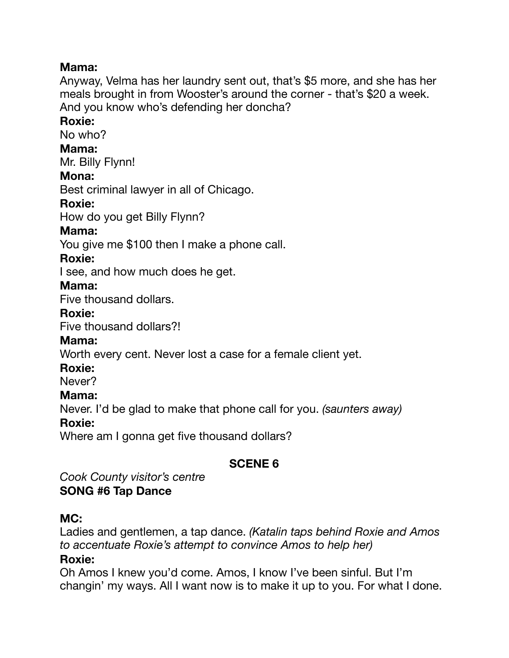## **Mama:**

Anyway, Velma has her laundry sent out, that's \$5 more, and she has her meals brought in from Wooster's around the corner - that's \$20 a week. And you know who's defending her doncha?

## **Roxie:**

No who?

#### **Mama:**

Mr. Billy Flynn!

#### **Mona:**

Best criminal lawyer in all of Chicago.

#### **Roxie:**

How do you get Billy Flynn?

#### **Mama:**

You give me \$100 then I make a phone call.

#### **Roxie:**

I see, and how much does he get.

#### **Mama:**

Five thousand dollars.

#### **Roxie:**

Five thousand dollars?!

#### **Mama:**

Worth every cent. Never lost a case for a female client yet.

## **Roxie:**

Never?

#### **Mama:**

Never. I'd be glad to make that phone call for you. *(saunters away)*

## **Roxie:**

Where am I gonna get five thousand dollars?

# **SCENE 6**

*Cook County visitor's centre*  **SONG #6 Tap Dance** 

## **MC:**

Ladies and gentlemen, a tap dance. *(Katalin taps behind Roxie and Amos to accentuate Roxie's attempt to convince Amos to help her)* 

## **Roxie:**

Oh Amos I knew you'd come. Amos, I know I've been sinful. But I'm changin' my ways. All I want now is to make it up to you. For what I done.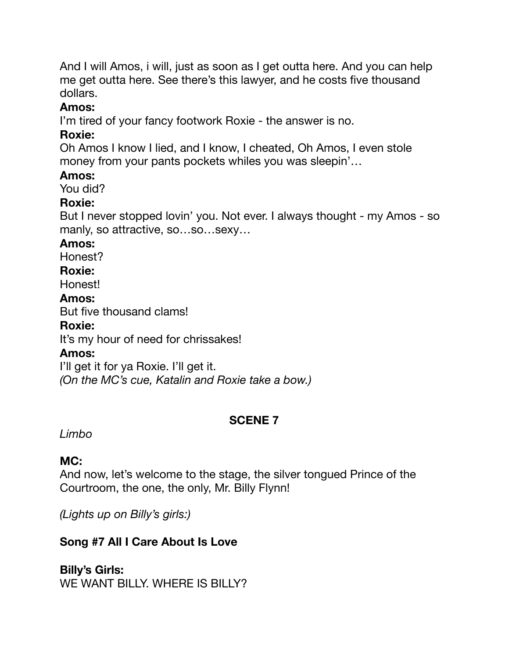And I will Amos, i will, just as soon as I get outta here. And you can help me get outta here. See there's this lawyer, and he costs five thousand dollars.

## **Amos:**

I'm tired of your fancy footwork Roxie - the answer is no.

## **Roxie:**

Oh Amos I know I lied, and I know, I cheated, Oh Amos, I even stole money from your pants pockets whiles you was sleepin'…

#### **Amos:**

You did?

## **Roxie:**

But I never stopped lovin' you. Not ever. I always thought - my Amos - so manly, so attractive, so…so…sexy…

## **Amos:**

Honest?

#### **Roxie:**

Honest!

## **Amos:**

But five thousand clams!

## **Roxie:**

It's my hour of need for chrissakes!

## **Amos:**

I'll get it for ya Roxie. I'll get it. *(On the MC's cue, Katalin and Roxie take a bow.)* 

## **SCENE 7**

*Limbo* 

## **MC:**

And now, let's welcome to the stage, the silver tongued Prince of the Courtroom, the one, the only, Mr. Billy Flynn!

*(Lights up on Billy's girls:)* 

# **Song #7 All I Care About Is Love**

**Billy's Girls:**  WE WANT BILLY. WHERE IS BILLY?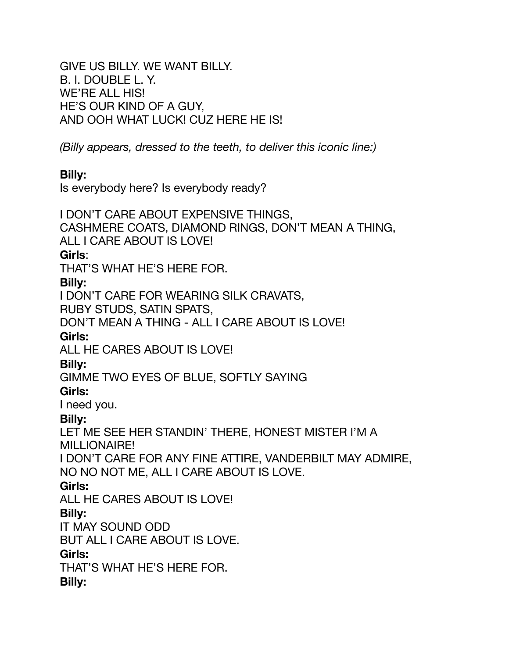GIVE US BILLY. WE WANT BILLY. B. I. DOUBLE L. Y. WE'RE ALL HIS! HE'S OUR KIND OF A GUY, AND OOH WHAT LUCK! CUZ HERE HE IS!

*(Billy appears, dressed to the teeth, to deliver this iconic line:)* 

#### **Billy:**

Is everybody here? Is everybody ready?

I DON'T CARE ABOUT EXPENSIVE THINGS, CASHMERE COATS, DIAMOND RINGS, DON'T MEAN A THING, ALL I CARE ABOUT IS LOVE! **Girls**: THAT'S WHAT HE'S HERE FOR. **Billy:**  I DON'T CARE FOR WEARING SILK CRAVATS, RUBY STUDS, SATIN SPATS, DON'T MEAN A THING - ALL I CARE ABOUT IS LOVE! **Girls:**  ALL HE CARES ABOUT IS LOVE! **Billy:**  GIMME TWO EYES OF BLUE, SOFTLY SAYING **Girls:**  I need you. **Billy:**  LET ME SEE HER STANDIN' THERE, HONEST MISTER I'M A MILLIONAIRE! I DON'T CARE FOR ANY FINE ATTIRE, VANDERBILT MAY ADMIRE, NO NO NOT ME, ALL I CARE ABOUT IS LOVE. **Girls:**  ALL HE CARES ABOUT IS LOVE! **Billy:**  IT MAY SOUND ODD BUT ALL I CARE ABOUT IS LOVE. **Girls:**  THAT'S WHAT HE'S HERE FOR.

**Billy:**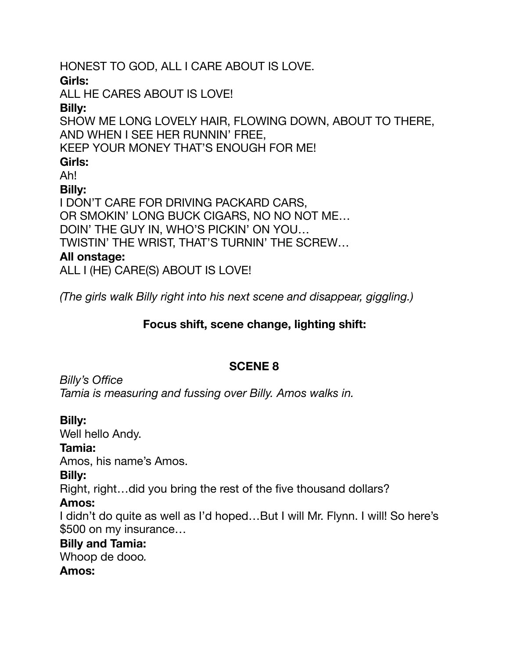#### HONEST TO GOD, ALL I CARE ABOUT IS LOVE. **Girls:**  ALL HE CARES ABOUT IS LOVE! **Billy:**  SHOW ME LONG LOVELY HAIR, FLOWING DOWN, ABOUT TO THERE, AND WHEN I SEE HER RUNNIN' FREE, KEEP YOUR MONEY THAT'S ENOUGH FOR ME! **Girls:**  Ah! **Billy:**  I DON'T CARE FOR DRIVING PACKARD CARS, OR SMOKIN' LONG BUCK CIGARS, NO NO NOT ME… DOIN' THE GUY IN, WHO'S PICKIN' ON YOU… TWISTIN' THE WRIST, THAT'S TURNIN' THE SCREW… **All onstage:**  ALL I (HE) CARE(S) ABOUT IS LOVE!

*(The girls walk Billy right into his next scene and disappear, giggling.)* 

#### **Focus shift, scene change, lighting shift:**

# **SCENE 8**

*Billy's Office Tamia is measuring and fussing over Billy. Amos walks in.* 

#### **Billy:**

Well hello Andy.

#### **Tamia:**

Amos, his name's Amos.

#### **Billy:**

Right, right…did you bring the rest of the five thousand dollars?

## **Amos:**

I didn't do quite as well as I'd hoped…But I will Mr. Flynn. I will! So here's \$500 on my insurance…

## **Billy and Tamia:**

Whoop de dooo*.*

#### **Amos:**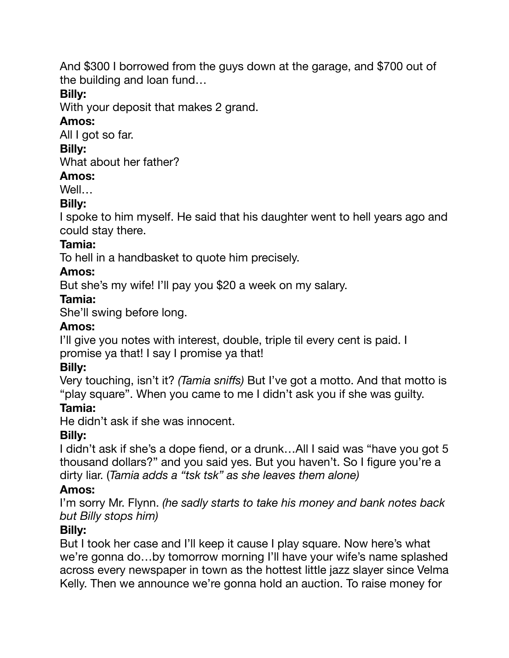And \$300 I borrowed from the guys down at the garage, and \$700 out of the building and loan fund…

## **Billy:**

With your deposit that makes 2 grand.

# **Amos:**

All I got so far.

## **Billy:**

What about her father?

## **Amos:**

Well…

## **Billy:**

I spoke to him myself. He said that his daughter went to hell years ago and could stay there.

## **Tamia:**

To hell in a handbasket to quote him precisely.

## **Amos:**

But she's my wife! I'll pay you \$20 a week on my salary.

## **Tamia:**

She'll swing before long.

## **Amos:**

I'll give you notes with interest, double, triple til every cent is paid. I promise ya that! I say I promise ya that!

## **Billy:**

Very touching, isn't it? *(Tamia sniffs)* But I've got a motto. And that motto is "play square". When you came to me I didn't ask you if she was guilty.

## **Tamia:**

He didn't ask if she was innocent.

# **Billy:**

I didn't ask if she's a dope fiend, or a drunk…All I said was "have you got 5 thousand dollars?" and you said yes. But you haven't. So I figure you're a dirty liar. (*Tamia adds a "tsk tsk" as she leaves them alone)*

# **Amos:**

I'm sorry Mr. Flynn. *(he sadly starts to take his money and bank notes back but Billy stops him)* 

# **Billy:**

But I took her case and I'll keep it cause I play square. Now here's what we're gonna do…by tomorrow morning I'll have your wife's name splashed across every newspaper in town as the hottest little jazz slayer since Velma Kelly. Then we announce we're gonna hold an auction. To raise money for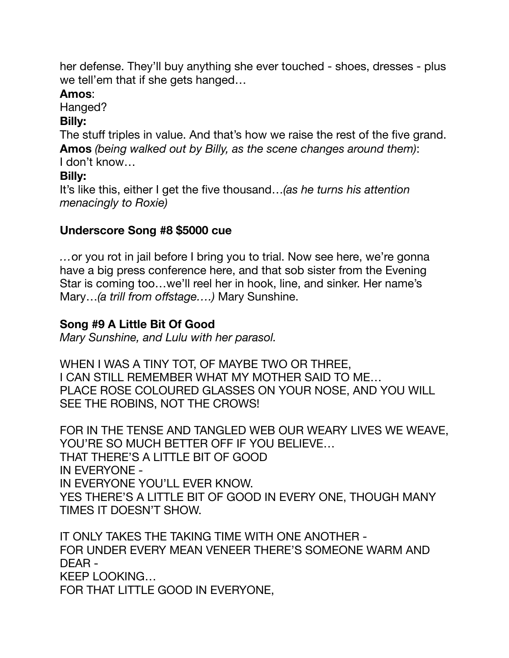her defense. They'll buy anything she ever touched - shoes, dresses - plus we tell'em that if she gets hanged…

#### **Amos**:

Hanged?

#### **Billy:**

The stuff triples in value. And that's how we raise the rest of the five grand. **Amos** *(being walked out by Billy, as the scene changes around them)*: I don't know…

#### **Billy:**

It's like this, either I get the five thousand…*(as he turns his attention menacingly to Roxie)* 

## **Underscore Song #8 \$5000 cue**

*…*or you rot in jail before I bring you to trial. Now see here, we're gonna have a big press conference here, and that sob sister from the Evening Star is coming too…we'll reel her in hook, line, and sinker. Her name's Mary…*(a trill from offstage….)* Mary Sunshine.

## **Song #9 A Little Bit Of Good**

*Mary Sunshine, and Lulu with her parasol.* 

WHEN I WAS A TINY TOT, OF MAYBE TWO OR THREE, I CAN STILL REMEMBER WHAT MY MOTHER SAID TO ME… PLACE ROSE COLOURED GLASSES ON YOUR NOSE, AND YOU WILL SEE THE ROBINS, NOT THE CROWS!

FOR IN THE TENSE AND TANGLED WEB OUR WEARY LIVES WE WEAVE, YOU'RE SO MUCH BETTER OFF IF YOU BELIEVE… THAT THERE'S A LITTLE BIT OF GOOD IN EVERYONE - IN EVERYONE YOU'LL EVER KNOW. YES THERE'S A LITTLE BIT OF GOOD IN EVERY ONE, THOUGH MANY TIMES IT DOESN'T SHOW.

IT ONLY TAKES THE TAKING TIME WITH ONE ANOTHER - FOR UNDER EVERY MEAN VENEER THERE'S SOMEONE WARM AND DEAR - KEEP LOOKING… FOR THAT LITTLE GOOD IN EVERYONE,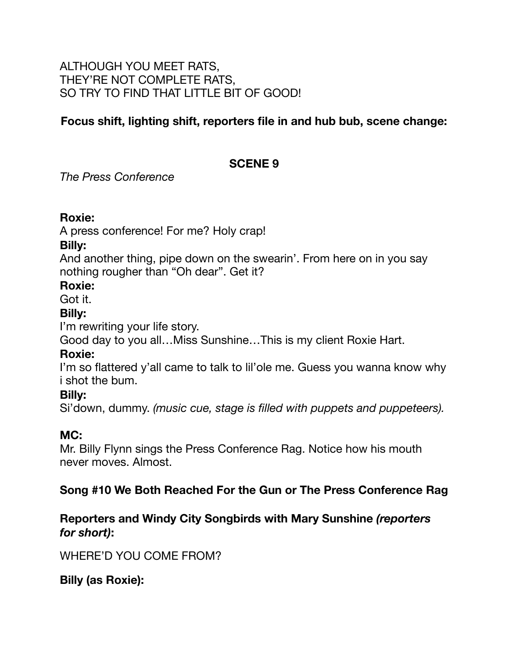#### ALTHOUGH YOU MEET RATS, THEY'RE NOT COMPLETE RATS, SO TRY TO FIND THAT LITTLE BIT OF GOOD!

## **Focus shift, lighting shift, reporters file in and hub bub, scene change:**

#### **SCENE 9**

*The Press Conference* 

#### **Roxie:**

A press conference! For me? Holy crap!

#### **Billy:**

And another thing, pipe down on the swearin'. From here on in you say nothing rougher than "Oh dear". Get it?

#### **Roxie:**

Got it.

## **Billy:**

I'm rewriting your life story.

Good day to you all…Miss Sunshine…This is my client Roxie Hart.

## **Roxie:**

I'm so flattered y'all came to talk to lil'ole me. Guess you wanna know why i shot the bum.

## **Billy:**

Si'down, dummy. *(music cue, stage is filled with puppets and puppeteers).* 

# **MC:**

Mr. Billy Flynn sings the Press Conference Rag. Notice how his mouth never moves. Almost.

## **Song #10 We Both Reached For the Gun or The Press Conference Rag**

#### **Reporters and Windy City Songbirds with Mary Sunshine** *(reporters for short)***:**

WHERE'D YOU COME FROM?

# **Billy (as Roxie):**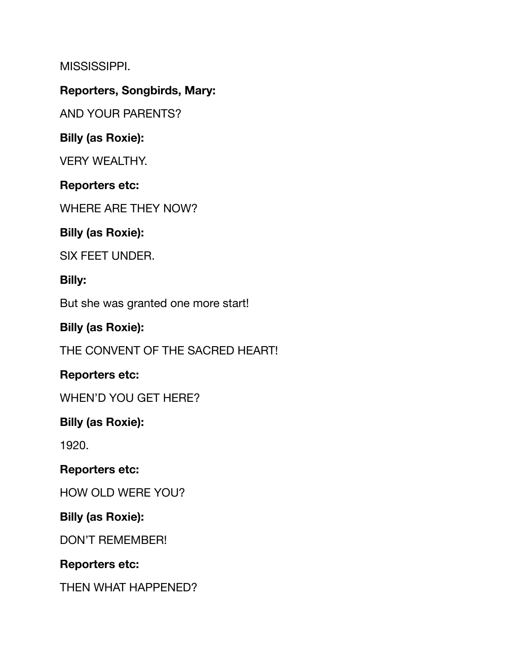MISSISSIPPI.

# **Reporters, Songbirds, Mary:**

AND YOUR PARENTS?

# **Billy (as Roxie):**

VERY WEALTHY.

# **Reporters etc:**

WHERE ARE THEY NOW?

# **Billy (as Roxie):**

SIX FEET UNDER.

# **Billy:**

But she was granted one more start!

# **Billy (as Roxie):**

THE CONVENT OF THE SACRED HEART!

# **Reporters etc:**

WHEN'D YOU GET HERE?

# **Billy (as Roxie):**

1920.

# **Reporters etc:**

HOW OLD WERE YOU?

# **Billy (as Roxie):**

DON'T REMEMBER!

# **Reporters etc:**

THEN WHAT HAPPENED?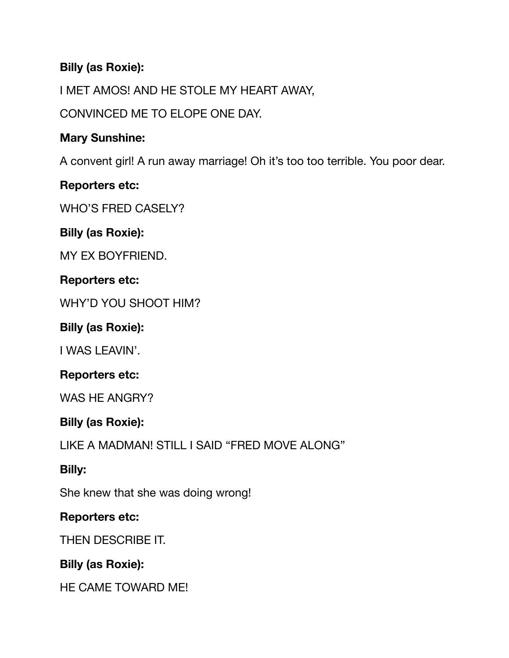# **Billy (as Roxie):**

I MET AMOS! AND HE STOLE MY HEART AWAY,

CONVINCED ME TO ELOPE ONE DAY.

## **Mary Sunshine:**

A convent girl! A run away marriage! Oh it's too too terrible. You poor dear.

## **Reporters etc:**

WHO'S FRED CASELY?

## **Billy (as Roxie):**

MY EX BOYFRIEND.

## **Reporters etc:**

WHY'D YOU SHOOT HIM?

## **Billy (as Roxie):**

I WAS LEAVIN'.

## **Reporters etc:**

WAS HE ANGRY?

## **Billy (as Roxie):**

LIKE A MADMAN! STILL I SAID "FRED MOVE ALONG"

# **Billy:**

She knew that she was doing wrong!

## **Reporters etc:**

THEN DESCRIBE IT.

# **Billy (as Roxie):**

HE CAME TOWARD ME!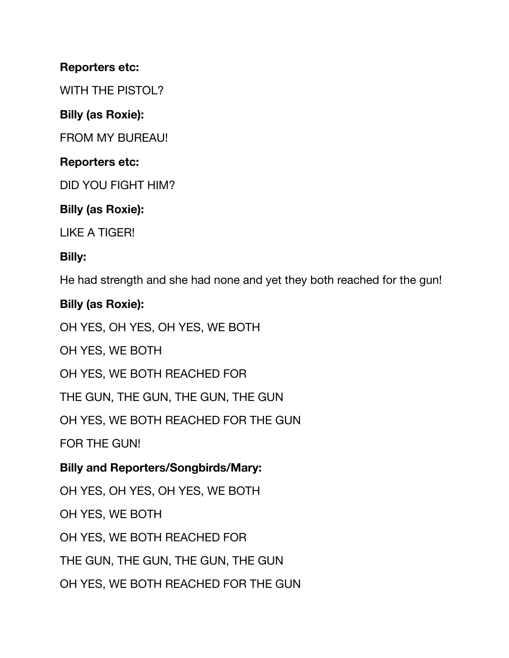#### **Reporters etc:**

WITH THE PISTOL?

#### **Billy (as Roxie):**

FROM MY BUREAU!

## **Reporters etc:**

DID YOU FIGHT HIM?

## **Billy (as Roxie):**

LIKE A TIGER!

## **Billy:**

He had strength and she had none and yet they both reached for the gun!

## **Billy (as Roxie):**

OH YES, OH YES, OH YES, WE BOTH

OH YES, WE BOTH

OH YES, WE BOTH REACHED FOR

THE GUN, THE GUN, THE GUN, THE GUN

OH YES, WE BOTH REACHED FOR THE GUN

FOR THE GUN!

**Billy and Reporters/Songbirds/Mary:** 

OH YES, OH YES, OH YES, WE BOTH

OH YES, WE BOTH

OH YES, WE BOTH REACHED FOR

THE GUN, THE GUN, THE GUN, THE GUN

OH YES, WE BOTH REACHED FOR THE GUN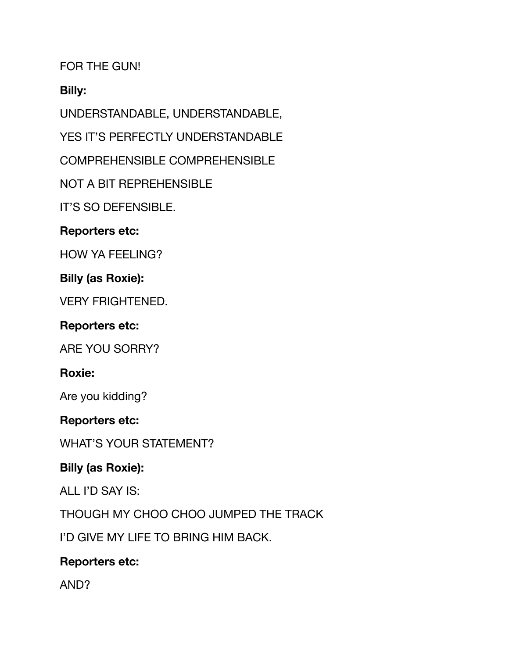FOR THE GUN!

## **Billy:**

UNDERSTANDABLE, UNDERSTANDABLE,

YES IT'S PERFECTLY UNDERSTANDABLE

COMPREHENSIBLE COMPREHENSIBLE

NOT A BIT REPREHENSIBLE

IT'S SO DEFENSIBLE.

## **Reporters etc:**

HOW YA FEELING?

# **Billy (as Roxie):**

VERY FRIGHTENED.

## **Reporters etc:**

ARE YOU SORRY?

# **Roxie:**

Are you kidding?

## **Reporters etc:**

WHAT'S YOUR STATEMENT?

# **Billy (as Roxie):**

ALL I'D SAY IS:

THOUGH MY CHOO CHOO JUMPED THE TRACK

I'D GIVE MY LIFE TO BRING HIM BACK.

# **Reporters etc:**

AND?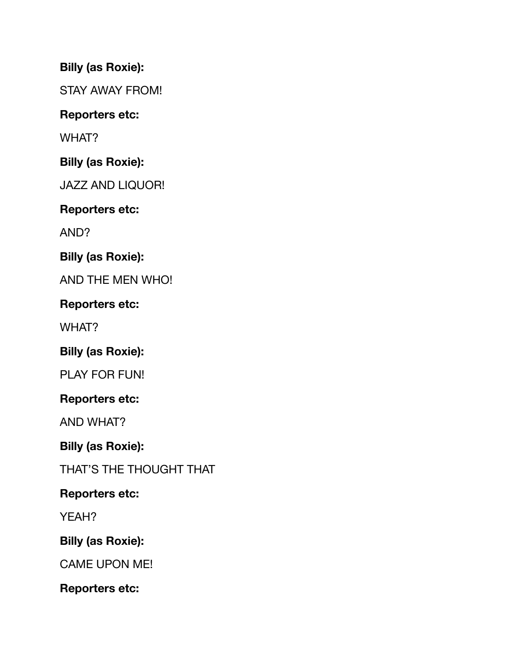**Billy (as Roxie):** 

STAY AWAY FROM!

#### **Reporters etc:**

WHAT?

## **Billy (as Roxie):**

JAZZ AND LIQUOR!

## **Reporters etc:**

AND?

## **Billy (as Roxie):**

AND THE MEN WHO!

## **Reporters etc:**

WHAT?

# **Billy (as Roxie):**

PLAY FOR FUN!

#### **Reporters etc:**

AND WHAT?

# **Billy (as Roxie):**

## THAT'S THE THOUGHT THAT

## **Reporters etc:**

YEAH?

# **Billy (as Roxie):**

CAME UPON ME!

## **Reporters etc:**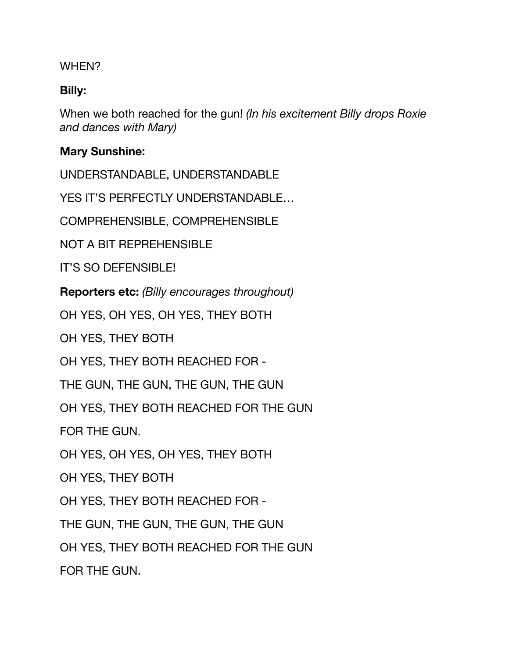#### WHEN?

#### **Billy:**

When we both reached for the gun! *(In his excitement Billy drops Roxie and dances with Mary)*

#### **Mary Sunshine:**

UNDERSTANDABLE, UNDERSTANDABLE

YES IT'S PERFECTLY UNDERSTANDABLE…

COMPREHENSIBLE, COMPREHENSIBLE

NOT A BIT REPREHENSIBLE

IT'S SO DEFENSIBLE!

**Reporters etc:** *(Billy encourages throughout)*

OH YES, OH YES, OH YES, THEY BOTH

OH YES, THEY BOTH

OH YES, THEY BOTH REACHED FOR -

THE GUN, THE GUN, THE GUN, THE GUN

OH YES, THEY BOTH REACHED FOR THE GUN

FOR THE GUN.

OH YES, OH YES, OH YES, THEY BOTH

OH YES, THEY BOTH

OH YES, THEY BOTH REACHED FOR -

THE GUN, THE GUN, THE GUN, THE GUN

OH YES, THEY BOTH REACHED FOR THE GUN

FOR THE GUN.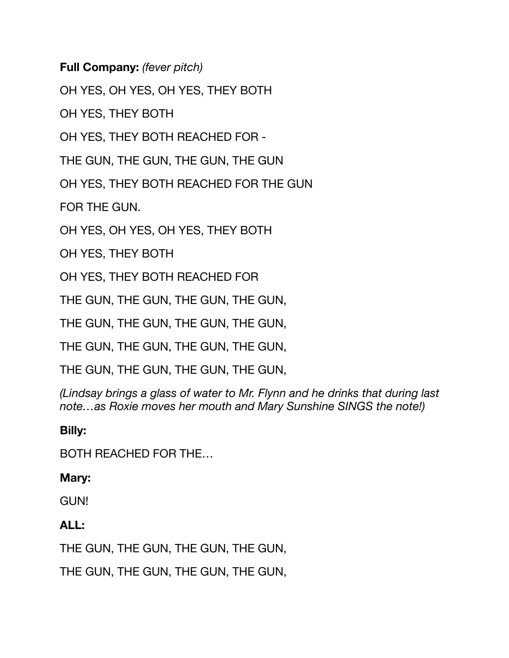**Full Company:** *(fever pitch)*

OH YES, OH YES, OH YES, THEY BOTH

OH YES, THEY BOTH

OH YES, THEY BOTH REACHED FOR -

THE GUN, THE GUN, THE GUN, THE GUN

OH YES, THEY BOTH REACHED FOR THE GUN

FOR THE GUN.

OH YES, OH YES, OH YES, THEY BOTH

OH YES, THEY BOTH

OH YES, THEY BOTH REACHED FOR

THE GUN, THE GUN, THE GUN, THE GUN,

THE GUN, THE GUN, THE GUN, THE GUN,

THE GUN, THE GUN, THE GUN, THE GUN,

THE GUN, THE GUN, THE GUN, THE GUN,

*(Lindsay brings a glass of water to Mr. Flynn and he drinks that during last note…as Roxie moves her mouth and Mary Sunshine SINGS the note!)* 

#### **Billy:**

BOTH REACHED FOR THE…

#### **Mary:**

GUN!

#### **ALL:**

THE GUN, THE GUN, THE GUN, THE GUN,

THE GUN, THE GUN, THE GUN, THE GUN,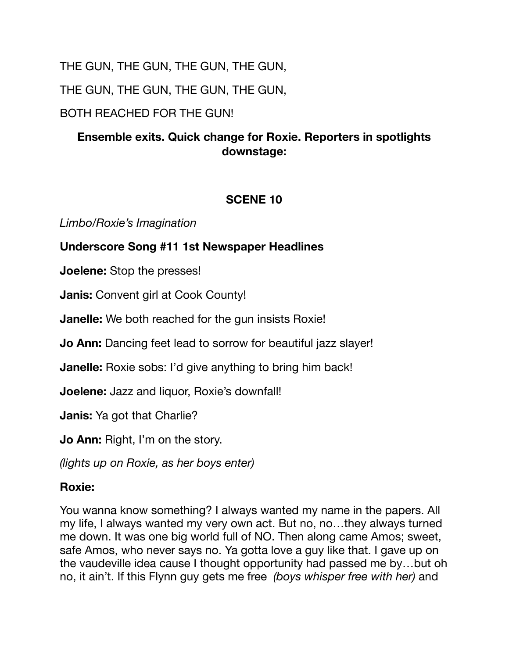THE GUN, THE GUN, THE GUN, THE GUN,

THE GUN, THE GUN, THE GUN, THE GUN,

BOTH REACHED FOR THE GUN!

## **Ensemble exits. Quick change for Roxie. Reporters in spotlights downstage:**

# **SCENE 10**

*Limbo/Roxie's Imagination* 

## **Underscore Song #11 1st Newspaper Headlines**

**Joelene:** Stop the presses!

**Janis: Convent girl at Cook County!** 

**Janelle:** We both reached for the gun insists Roxie!

**Jo Ann:** Dancing feet lead to sorrow for beautiful jazz slayer!

**Janelle:** Roxie sobs: I'd give anything to bring him back!

**Joelene:** Jazz and liquor, Roxie's downfall!

**Janis:** Ya got that Charlie?

**Jo Ann:** Right, I'm on the story.

*(lights up on Roxie, as her boys enter)* 

## **Roxie:**

You wanna know something? I always wanted my name in the papers. All my life, I always wanted my very own act. But no, no…they always turned me down. It was one big world full of NO. Then along came Amos; sweet, safe Amos, who never says no. Ya gotta love a guy like that. I gave up on the vaudeville idea cause I thought opportunity had passed me by…but oh no, it ain't. If this Flynn guy gets me free *(boys whisper free with her)* and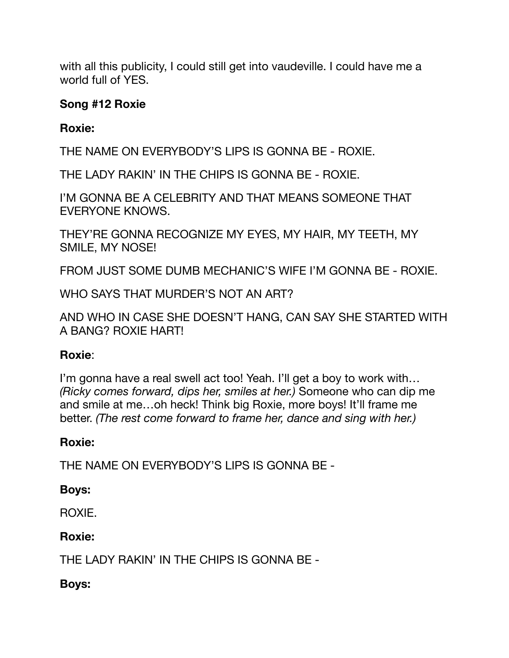with all this publicity, I could still get into vaudeville. I could have me a world full of YES.

#### **Song #12 Roxie**

#### **Roxie:**

THE NAME ON EVERYBODY'S LIPS IS GONNA BE - ROXIE.

THE LADY RAKIN' IN THE CHIPS IS GONNA BE - ROXIE.

I'M GONNA BE A CELEBRITY AND THAT MEANS SOMEONE THAT EVERYONE KNOWS.

THEY'RE GONNA RECOGNIZE MY EYES, MY HAIR, MY TEETH, MY SMILE, MY NOSE!

FROM JUST SOME DUMB MECHANIC'S WIFE I'M GONNA BE - ROXIE.

WHO SAYS THAT MURDER'S NOT AN ART?

AND WHO IN CASE SHE DOESN'T HANG, CAN SAY SHE STARTED WITH A BANG? ROXIE HART!

## **Roxie**:

I'm gonna have a real swell act too! Yeah. I'll get a boy to work with… *(Ricky comes forward, dips her, smiles at her.)* Someone who can dip me and smile at me…oh heck! Think big Roxie, more boys! It'll frame me better. *(The rest come forward to frame her, dance and sing with her.)*

## **Roxie:**

THE NAME ON EVERYBODY'S LIPS IS GONNA BE -

## **Boys:**

ROXIE.

## **Roxie:**

THE LADY RAKIN' IN THE CHIPS IS GONNA BE -

## **Boys:**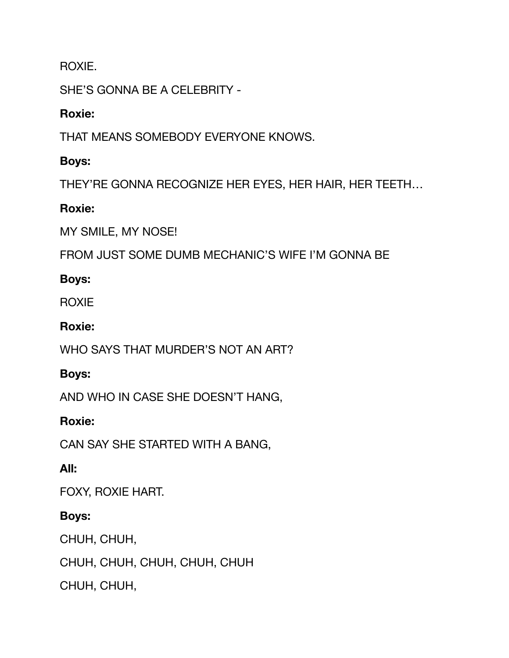ROXIE.

SHE'S GONNA BE A CELEBRITY -

## **Roxie:**

THAT MEANS SOMEBODY EVERYONE KNOWS.

# **Boys:**

THEY'RE GONNA RECOGNIZE HER EYES, HER HAIR, HER TEETH…

# **Roxie:**

MY SMILE, MY NOSE!

FROM JUST SOME DUMB MECHANIC'S WIFE I'M GONNA BE

## **Boys:**

ROXIE

## **Roxie:**

WHO SAYS THAT MURDER'S NOT AN ART?

# **Boys:**

AND WHO IN CASE SHE DOESN'T HANG,

# **Roxie:**

CAN SAY SHE STARTED WITH A BANG,

# **All:**

FOXY, ROXIE HART.

# **Boys:**

CHUH, CHUH,

CHUH, CHUH, CHUH, CHUH, CHUH

CHUH, CHUH,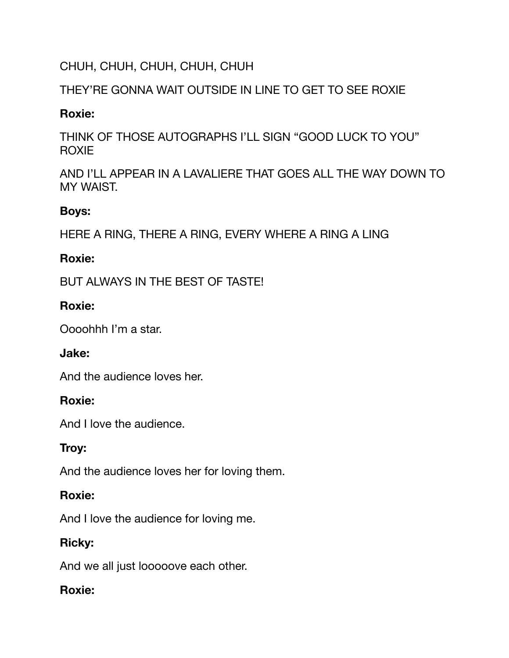## CHUH, CHUH, CHUH, CHUH, CHUH

# THEY'RE GONNA WAIT OUTSIDE IN LINE TO GET TO SEE ROXIE

## **Roxie:**

THINK OF THOSE AUTOGRAPHS I'LL SIGN "GOOD LUCK TO YOU" ROXIE

AND I'LL APPEAR IN A LAVALIERE THAT GOES ALL THE WAY DOWN TO MY WAIST.

#### **Boys:**

HERE A RING, THERE A RING, EVERY WHERE A RING A LING

## **Roxie:**

BUT ALWAYS IN THE BEST OF TASTE!

## **Roxie:**

Oooohhh I'm a star.

## **Jake:**

And the audience loves her.

# **Roxie:**

And I love the audience.

# **Troy:**

And the audience loves her for loving them.

# **Roxie:**

And I love the audience for loving me.

# **Ricky:**

And we all just looooove each other.

# **Roxie:**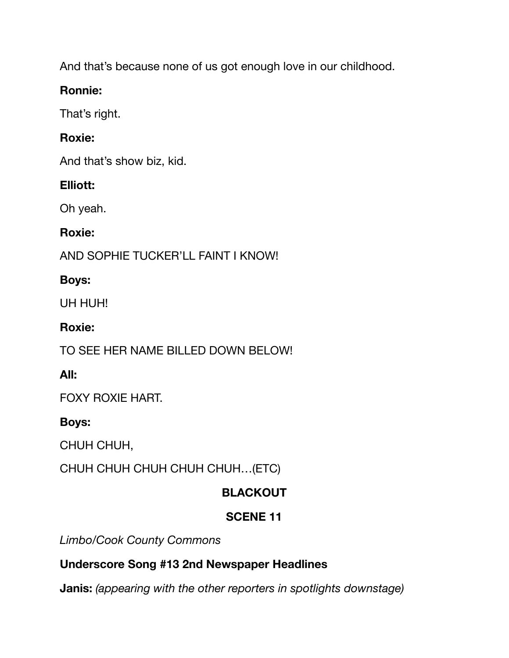And that's because none of us got enough love in our childhood.

### **Ronnie:**

That's right.

# **Roxie:**

And that's show biz, kid.

# **Elliott:**

Oh yeah.

# **Roxie:**

AND SOPHIE TUCKER'LL FAINT I KNOW!

# **Boys:**

UH HUH!

# **Roxie:**

TO SEE HER NAME BILLED DOWN BELOW!

# **All:**

FOXY ROXIE HART.

# **Boys:**

CHUH CHUH,

CHUH CHUH CHUH CHUH CHUH…(ETC)

# **BLACKOUT**

# **SCENE 11**

*Limbo/Cook County Commons* 

# **Underscore Song #13 2nd Newspaper Headlines**

**Janis:** *(appearing with the other reporters in spotlights downstage)*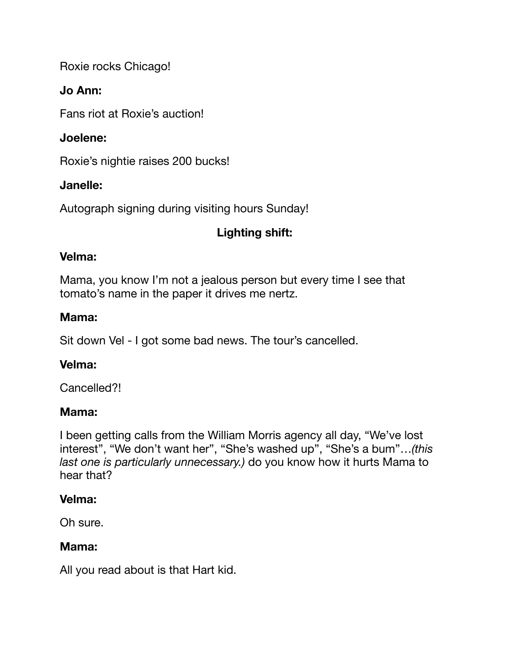Roxie rocks Chicago!

### **Jo Ann:**

Fans riot at Roxie's auction!

### **Joelene:**

Roxie's nightie raises 200 bucks!

### **Janelle:**

Autograph signing during visiting hours Sunday!

# **Lighting shift:**

### **Velma:**

Mama, you know I'm not a jealous person but every time I see that tomato's name in the paper it drives me nertz.

### **Mama:**

Sit down Vel - I got some bad news. The tour's cancelled.

### **Velma:**

Cancelled?!

### **Mama:**

I been getting calls from the William Morris agency all day, "We've lost interest", "We don't want her", "She's washed up", "She's a bum"…*(this last one is particularly unnecessary.)* do you know how it hurts Mama to hear that?

### **Velma:**

Oh sure.

### **Mama:**

All you read about is that Hart kid.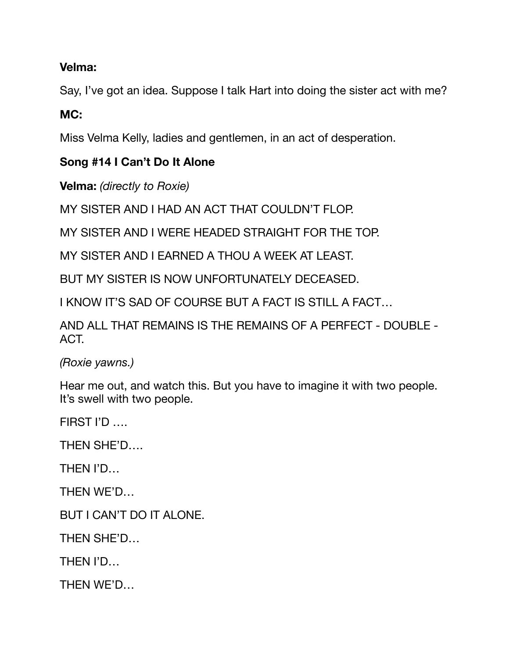#### **Velma:**

Say, I've got an idea. Suppose I talk Hart into doing the sister act with me?

#### **MC:**

Miss Velma Kelly, ladies and gentlemen, in an act of desperation.

#### **Song #14 I Can't Do It Alone**

**Velma:** *(directly to Roxie)*

MY SISTER AND I HAD AN ACT THAT COULDN'T FLOP.

MY SISTER AND I WERE HEADED STRAIGHT FOR THE TOP.

MY SISTER AND I EARNED A THOU A WEEK AT LEAST.

BUT MY SISTER IS NOW UNFORTUNATELY DECEASED.

I KNOW IT'S SAD OF COURSE BUT A FACT IS STILL A FACT…

AND ALL THAT REMAINS IS THE REMAINS OF A PERFECT - DOUBLE - ACT.

*(Roxie yawns.)* 

Hear me out, and watch this. But you have to imagine it with two people. It's swell with two people.

FIRST I'D ….

THEN SHE'D….

THEN I'D…

THEN WE'D…

BUT I CAN'T DO IT ALONE.

THEN SHE'D…

THEN I'D…

THEN WE'D…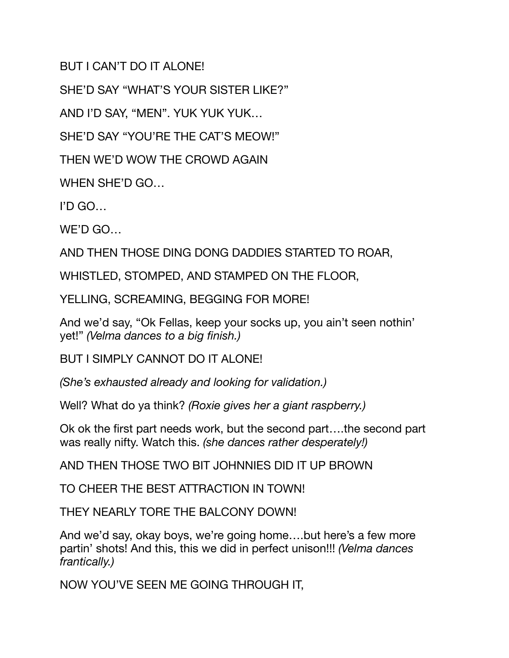BUT I CAN'T DO IT ALONE!

SHE'D SAY "WHAT'S YOUR SISTER LIKE?"

AND I'D SAY, "MEN". YUK YUK YUK…

SHE'D SAY "YOU'RE THE CAT'S MEOW!"

THEN WE'D WOW THE CROWD AGAIN

WHEN SHE'D GO…

I'D GO…

WE'D GO…

AND THEN THOSE DING DONG DADDIES STARTED TO ROAR,

WHISTLED, STOMPED, AND STAMPED ON THE FLOOR,

YELLING, SCREAMING, BEGGING FOR MORE!

And we'd say, "Ok Fellas, keep your socks up, you ain't seen nothin' yet!" *(Velma dances to a big finish.)*

BUT I SIMPLY CANNOT DO IT ALONE!

*(She's exhausted already and looking for validation.)* 

Well? What do ya think? *(Roxie gives her a giant raspberry.)*

Ok ok the first part needs work, but the second part….the second part was really nifty. Watch this. *(she dances rather desperately!)* 

AND THEN THOSE TWO BIT JOHNNIES DID IT UP BROWN

TO CHEER THE BEST ATTRACTION IN TOWN!

THEY NEARLY TORE THE BALCONY DOWN!

And we'd say, okay boys, we're going home….but here's a few more partin' shots! And this, this we did in perfect unison!!! *(Velma dances frantically.)*

NOW YOU'VE SEEN ME GOING THROUGH IT,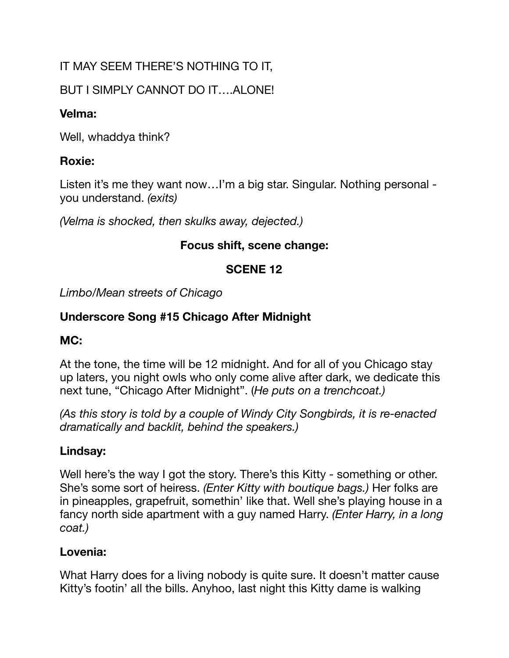### IT MAY SEEM THERE'S NOTHING TO IT,

# BUT I SIMPLY CANNOT DO IT….ALONE!

### **Velma:**

Well, whaddya think?

### **Roxie:**

Listen it's me they want now…I'm a big star. Singular. Nothing personal you understand. *(exits)*

*(Velma is shocked, then skulks away, dejected.)* 

### **Focus shift, scene change:**

### **SCENE 12**

*Limbo/Mean streets of Chicago* 

### **Underscore Song #15 Chicago After Midnight**

### **MC:**

At the tone, the time will be 12 midnight. And for all of you Chicago stay up laters, you night owls who only come alive after dark, we dedicate this next tune, "Chicago After Midnight". (*He puts on a trenchcoat.)*

*(As this story is told by a couple of Windy City Songbirds, it is re-enacted dramatically and backlit, behind the speakers.)* 

### **Lindsay:**

Well here's the way I got the story. There's this Kitty - something or other. She's some sort of heiress. *(Enter Kitty with boutique bags.)* Her folks are in pineapples, grapefruit, somethin' like that. Well she's playing house in a fancy north side apartment with a guy named Harry. *(Enter Harry, in a long coat.)*

### **Lovenia:**

What Harry does for a living nobody is quite sure. It doesn't matter cause Kitty's footin' all the bills. Anyhoo, last night this Kitty dame is walking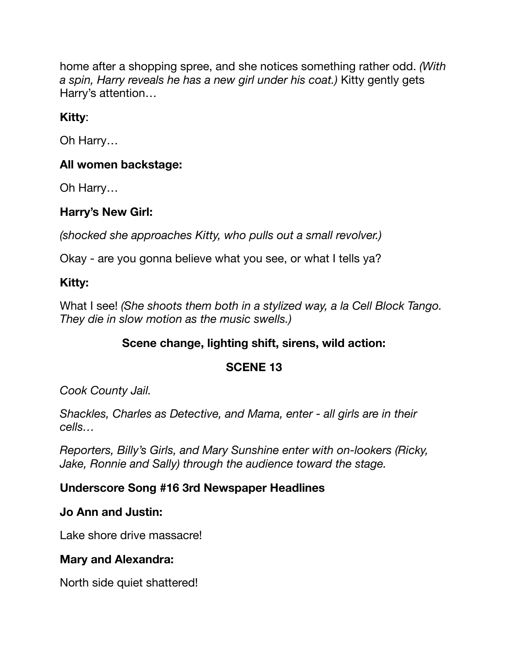home after a shopping spree, and she notices something rather odd. *(With a spin, Harry reveals he has a new girl under his coat.)* Kitty gently gets Harry's attention…

### **Kitty**:

Oh Harry…

### **All women backstage:**

Oh Harry…

### **Harry's New Girl:**

*(shocked she approaches Kitty, who pulls out a small revolver.)* 

Okay - are you gonna believe what you see, or what I tells ya?

#### **Kitty:**

What I see! *(She shoots them both in a stylized way, a la Cell Block Tango. They die in slow motion as the music swells.)* 

### **Scene change, lighting shift, sirens, wild action:**

### **SCENE 13**

*Cook County Jail.* 

*Shackles, Charles as Detective, and Mama, enter - all girls are in their cells…* 

*Reporters, Billy's Girls, and Mary Sunshine enter with on-lookers (Ricky, Jake, Ronnie and Sally) through the audience toward the stage.* 

### **Underscore Song #16 3rd Newspaper Headlines**

### **Jo Ann and Justin:**

Lake shore drive massacre!

### **Mary and Alexandra:**

North side quiet shattered!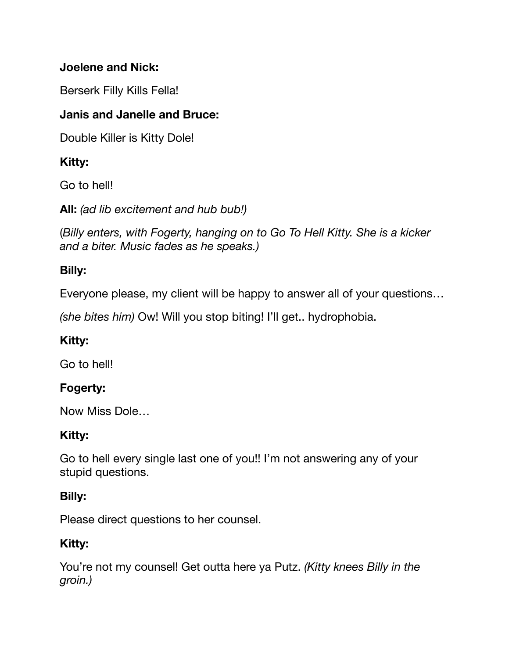### **Joelene and Nick:**

Berserk Filly Kills Fella!

### **Janis and Janelle and Bruce:**

Double Killer is Kitty Dole!

### **Kitty:**

Go to hell!

**All:** *(ad lib excitement and hub bub!)* 

(*Billy enters, with Fogerty, hanging on to Go To Hell Kitty. She is a kicker and a biter. Music fades as he speaks.)* 

### **Billy:**

Everyone please, my client will be happy to answer all of your questions…

*(she bites him)* Ow! Will you stop biting! I'll get.. hydrophobia.

### **Kitty:**

Go to hell!

### **Fogerty:**

Now Miss Dole…

### **Kitty:**

Go to hell every single last one of you!! I'm not answering any of your stupid questions.

### **Billy:**

Please direct questions to her counsel.

### **Kitty:**

You're not my counsel! Get outta here ya Putz. *(Kitty knees Billy in the groin.)*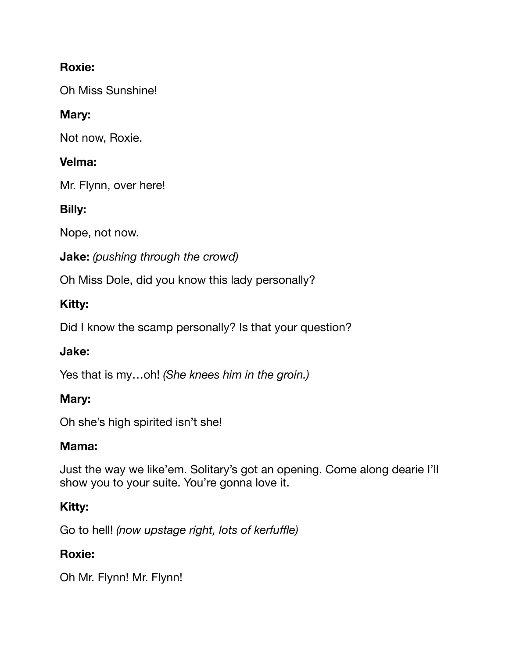### **Roxie:**

Oh Miss Sunshine!

### **Mary:**

Not now, Roxie.

### **Velma:**

Mr. Flynn, over here!

### **Billy:**

Nope, not now.

**Jake:** *(pushing through the crowd)*

Oh Miss Dole, did you know this lady personally?

### **Kitty:**

Did I know the scamp personally? Is that your question?

### **Jake:**

Yes that is my…oh! *(She knees him in the groin.)* 

### **Mary:**

Oh she's high spirited isn't she!

### **Mama:**

Just the way we like'em. Solitary's got an opening. Come along dearie I'll show you to your suite. You're gonna love it.

### **Kitty:**

Go to hell! *(now upstage right, lots of kerfuffle)*

### **Roxie:**

Oh Mr. Flynn! Mr. Flynn!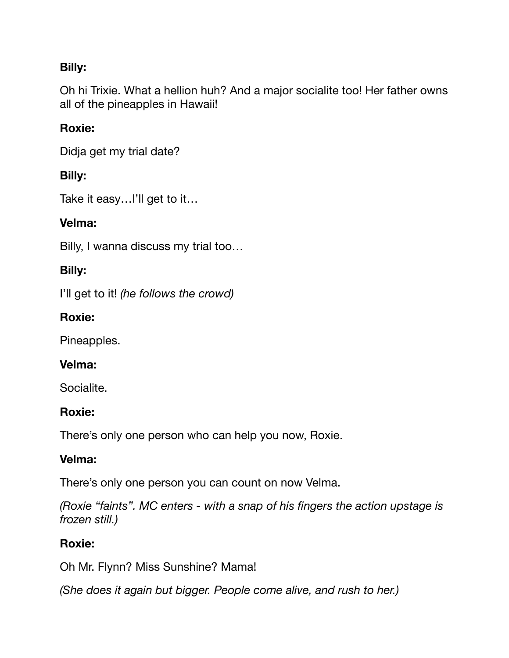#### **Billy:**

Oh hi Trixie. What a hellion huh? And a major socialite too! Her father owns all of the pineapples in Hawaii!

#### **Roxie:**

Didja get my trial date?

#### **Billy:**

Take it easy...I'll get to it...

#### **Velma:**

Billy, I wanna discuss my trial too…

### **Billy:**

I'll get to it! *(he follows the crowd)* 

#### **Roxie:**

Pineapples.

#### **Velma:**

Socialite.

#### **Roxie:**

There's only one person who can help you now, Roxie.

#### **Velma:**

There's only one person you can count on now Velma.

*(Roxie "faints". MC enters - with a snap of his fingers the action upstage is frozen still.)* 

#### **Roxie:**

Oh Mr. Flynn? Miss Sunshine? Mama!

*(She does it again but bigger. People come alive, and rush to her.)*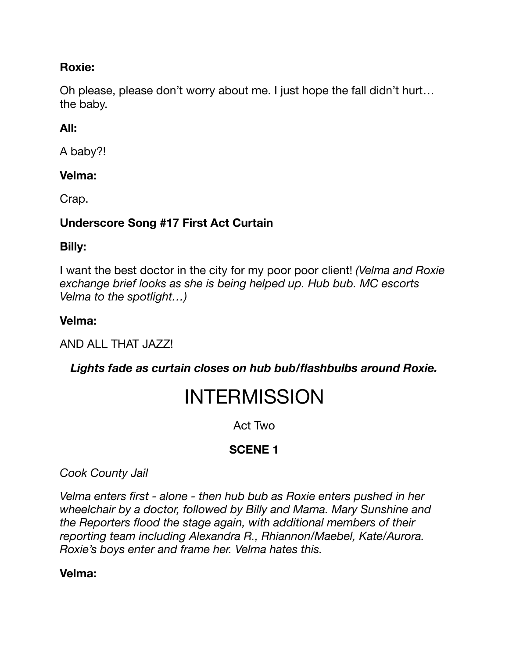### **Roxie:**

Oh please, please don't worry about me. I just hope the fall didn't hurt… the baby.

### **All:**

A baby?!

#### **Velma:**

Crap.

### **Underscore Song #17 First Act Curtain**

#### **Billy:**

I want the best doctor in the city for my poor poor client! *(Velma and Roxie exchange brief looks as she is being helped up. Hub bub. MC escorts Velma to the spotlight…)* 

#### **Velma:**

AND ALL THAT JAZZ!

### *Lights fade as curtain closes on hub bub/flashbulbs around Roxie.*

# **INTERMISSION**

Act Two

### **SCENE 1**

*Cook County Jail* 

*Velma enters first - alone - then hub bub as Roxie enters pushed in her wheelchair by a doctor, followed by Billy and Mama. Mary Sunshine and the Reporters flood the stage again, with additional members of their reporting team including Alexandra R., Rhiannon/Maebel, Kate/Aurora. Roxie's boys enter and frame her. Velma hates this.* 

#### **Velma:**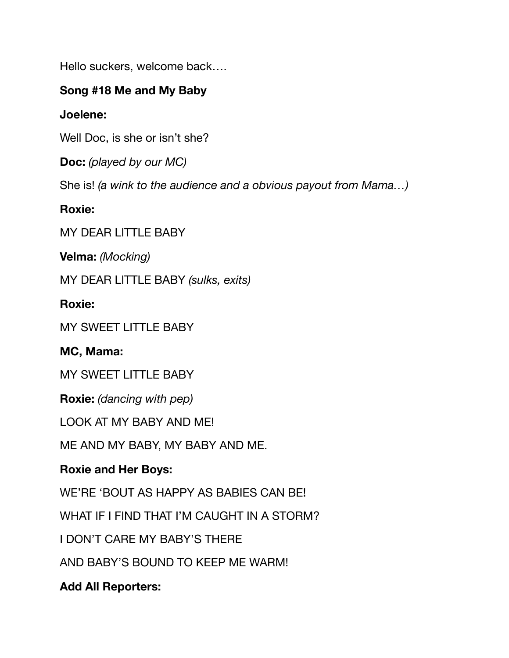Hello suckers, welcome back….

### **Song #18 Me and My Baby**

### **Joelene:**

Well Doc, is she or isn't she?

**Doc:** *(played by our MC)*

She is! *(a wink to the audience and a obvious payout from Mama…)*

### **Roxie:**

MY DEAR LITTLE BABY

**Velma:** *(Mocking)*

MY DEAR LITTLE BABY *(sulks, exits)*

**Roxie:** 

MY SWEET LITTLE BABY

### **MC, Mama:**

MY SWEET LITTLE BABY

**Roxie:** *(dancing with pep)*

LOOK AT MY BABY AND ME!

ME AND MY BABY, MY BABY AND ME.

### **Roxie and Her Boys:**

WE'RE 'BOUT AS HAPPY AS BABIES CAN BE!

WHAT IF I FIND THAT I'M CAUGHT IN A STORM?

I DON'T CARE MY BABY'S THERE

AND BABY'S BOUND TO KEEP ME WARM!

### **Add All Reporters:**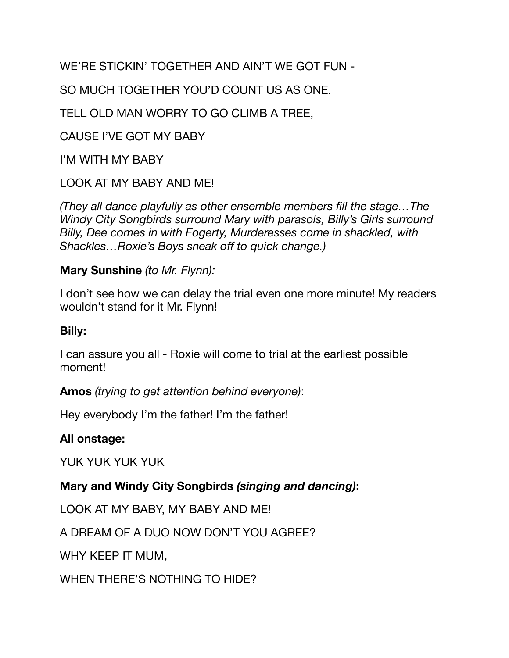WE'RE STICKIN' TOGETHER AND AIN'T WE GOT FUN -

SO MUCH TOGETHER YOU'D COUNT US AS ONE.

TELL OLD MAN WORRY TO GO CLIMB A TREE,

CAUSE I'VE GOT MY BABY

I'M WITH MY BABY

LOOK AT MY BABY AND ME!

*(They all dance playfully as other ensemble members fill the stage…The Windy City Songbirds surround Mary with parasols, Billy's Girls surround Billy, Dee comes in with Fogerty, Murderesses come in shackled, with Shackles…Roxie's Boys sneak off to quick change.)*

### **Mary Sunshine** *(to Mr. Flynn):*

I don't see how we can delay the trial even one more minute! My readers wouldn't stand for it Mr. Flynn!

#### **Billy:**

I can assure you all - Roxie will come to trial at the earliest possible moment!

**Amos** *(trying to get attention behind everyone)*:

Hey everybody I'm the father! I'm the father!

### **All onstage:**

YUK YUK YUK YUK

### **Mary and Windy City Songbirds** *(singing and dancing)***:**

LOOK AT MY BABY, MY BABY AND ME!

A DREAM OF A DUO NOW DON'T YOU AGREE?

WHY KEEP IT MUM,

WHEN THERE'S NOTHING TO HIDE?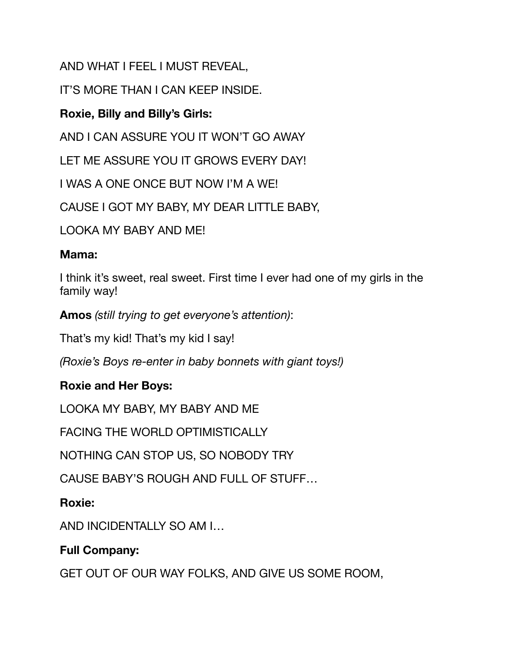AND WHAT I FEEL I MUST REVEAL,

IT'S MORE THAN I CAN KEEP INSIDE.

# **Roxie, Billy and Billy's Girls:**

AND I CAN ASSURE YOU IT WON'T GO AWAY

LET ME ASSURE YOU IT GROWS EVERY DAY!

I WAS A ONE ONCE BUT NOW I'M A WE!

CAUSE I GOT MY BABY, MY DEAR LITTLE BABY,

LOOKA MY BABY AND ME!

### **Mama:**

I think it's sweet, real sweet. First time I ever had one of my girls in the family way!

**Amos** *(still trying to get everyone's attention)*:

That's my kid! That's my kid I say!

*(Roxie's Boys re-enter in baby bonnets with giant toys!)* 

### **Roxie and Her Boys:**

LOOKA MY BABY, MY BABY AND ME

FACING THE WORLD OPTIMISTICALLY

NOTHING CAN STOP US, SO NOBODY TRY

CAUSE BABY'S ROUGH AND FULL OF STUFF…

### **Roxie:**

AND INCIDENTALLY SO AM I…

### **Full Company:**

GET OUT OF OUR WAY FOLKS, AND GIVE US SOME ROOM,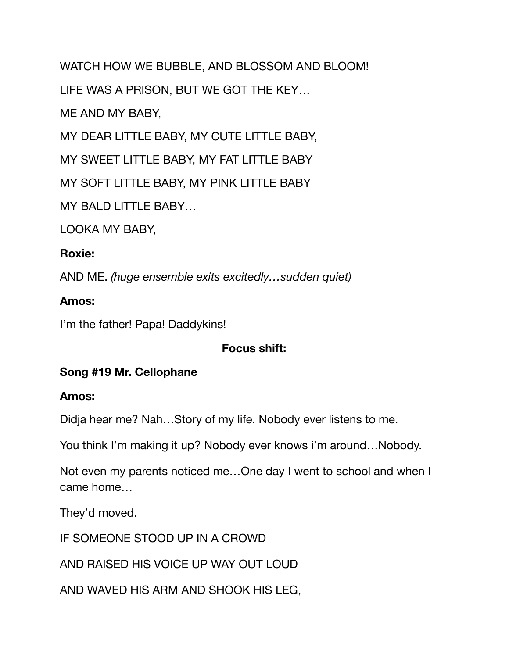WATCH HOW WE BUBBLE, AND BLOSSOM AND BLOOM! LIFE WAS A PRISON, BUT WE GOT THE KEY… ME AND MY BABY, MY DEAR LITTLE BABY, MY CUTE LITTLE BABY, MY SWEET LITTLE BABY, MY FAT LITTLE BABY MY SOFT LITTLE BABY, MY PINK LITTLE BABY

MY BALD LITTLE BABY…

LOOKA MY BABY,

**Roxie:** 

AND ME. *(huge ensemble exits excitedly…sudden quiet)* 

**Amos:** 

I'm the father! Papa! Daddykins!

### **Focus shift:**

### **Song #19 Mr. Cellophane**

### **Amos:**

Didja hear me? Nah…Story of my life. Nobody ever listens to me.

You think I'm making it up? Nobody ever knows i'm around…Nobody.

Not even my parents noticed me…One day I went to school and when I came home…

They'd moved.

IF SOMEONE STOOD UP IN A CROWD

AND RAISED HIS VOICE UP WAY OUT LOUD

AND WAVED HIS ARM AND SHOOK HIS LEG,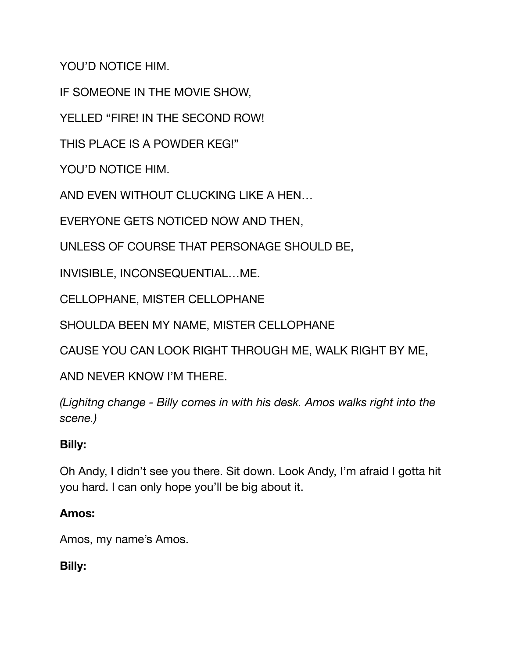YOU'D NOTICE HIM.

IF SOMEONE IN THE MOVIE SHOW,

YELLED "FIRE! IN THE SECOND ROW!

THIS PLACE IS A POWDER KEG!"

YOU'D NOTICE HIM.

AND EVEN WITHOUT CLUCKING LIKE A HEN…

EVERYONE GETS NOTICED NOW AND THEN,

UNLESS OF COURSE THAT PERSONAGE SHOULD BE,

INVISIBLE, INCONSEQUENTIAL…ME.

CELLOPHANE, MISTER CELLOPHANE

SHOULDA BEEN MY NAME, MISTER CELLOPHANE

CAUSE YOU CAN LOOK RIGHT THROUGH ME, WALK RIGHT BY ME,

AND NEVER KNOW I'M THERE.

*(Lighitng change - Billy comes in with his desk. Amos walks right into the scene.)* 

### **Billy:**

Oh Andy, I didn't see you there. Sit down. Look Andy, I'm afraid I gotta hit you hard. I can only hope you'll be big about it.

### **Amos:**

Amos, my name's Amos.

**Billy:**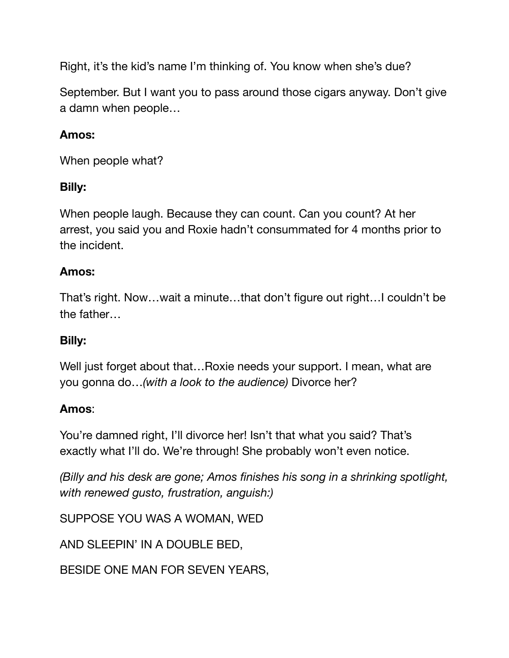Right, it's the kid's name I'm thinking of. You know when she's due?

September. But I want you to pass around those cigars anyway. Don't give a damn when people…

### **Amos:**

When people what?

### **Billy:**

When people laugh. Because they can count. Can you count? At her arrest, you said you and Roxie hadn't consummated for 4 months prior to the incident.

### **Amos:**

That's right. Now…wait a minute…that don't figure out right…I couldn't be the father…

### **Billy:**

Well just forget about that…Roxie needs your support. I mean, what are you gonna do…*(with a look to the audience)* Divorce her?

### **Amos**:

You're damned right, I'll divorce her! Isn't that what you said? That's exactly what I'll do. We're through! She probably won't even notice.

*(Billy and his desk are gone; Amos finishes his song in a shrinking spotlight, with renewed gusto, frustration, anguish:)* 

SUPPOSE YOU WAS A WOMAN, WED

AND SLEEPIN' IN A DOUBLE BED,

BESIDE ONE MAN FOR SEVEN YEARS,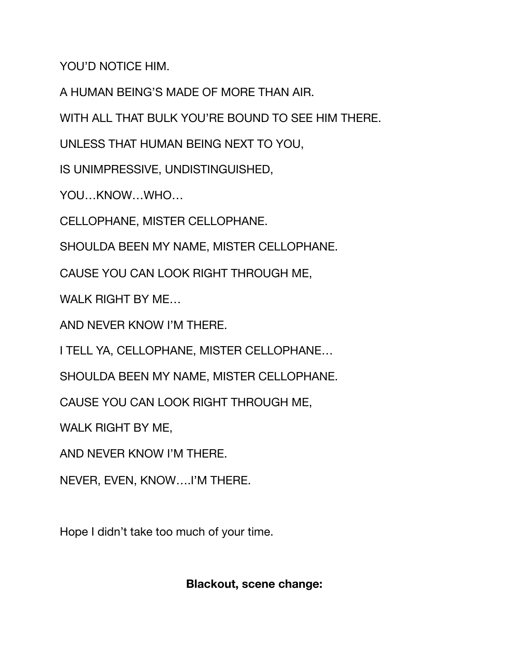YOU'D NOTICE HIM.

A HUMAN BEING'S MADE OF MORE THAN AIR.

WITH ALL THAT BULK YOU'RE BOUND TO SEE HIM THERE.

UNLESS THAT HUMAN BEING NEXT TO YOU,

IS UNIMPRESSIVE, UNDISTINGUISHED,

YOU…KNOW…WHO…

CELLOPHANE, MISTER CELLOPHANE.

SHOULDA BEEN MY NAME, MISTER CELLOPHANE.

CAUSE YOU CAN LOOK RIGHT THROUGH ME,

WALK RIGHT BY ME…

AND NEVER KNOW I'M THERE.

I TELL YA, CELLOPHANE, MISTER CELLOPHANE…

SHOULDA BEEN MY NAME, MISTER CELLOPHANE.

CAUSE YOU CAN LOOK RIGHT THROUGH ME,

WALK RIGHT BY ME,

AND NEVER KNOW I'M THERE.

NEVER, EVEN, KNOW….I'M THERE.

Hope I didn't take too much of your time.

**Blackout, scene change:**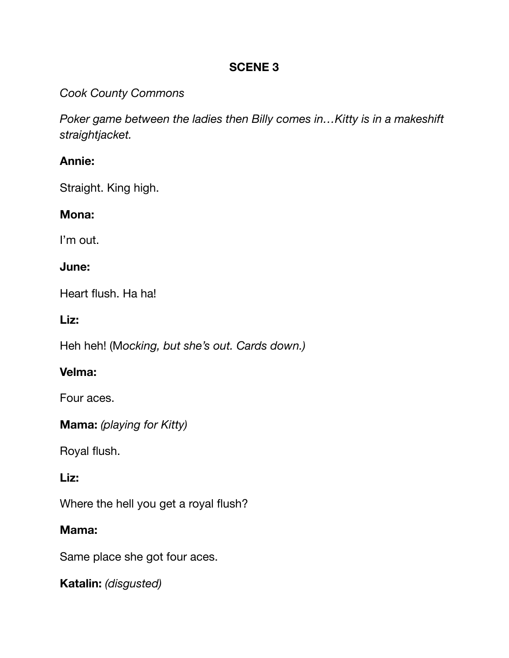### **SCENE 3**

### *Cook County Commons*

*Poker game between the ladies then Billy comes in…Kitty is in a makeshift straightjacket.* 

### **Annie:**

Straight. King high.

### **Mona:**

I'm out.

### **June:**

Heart flush. Ha ha!

#### **Liz:**

Heh heh! (M*ocking, but she's out. Cards down.)*

### **Velma:**

Four aces.

**Mama:** *(playing for Kitty)*

Royal flush.

#### **Liz:**

Where the hell you get a royal flush?

### **Mama:**

Same place she got four aces.

**Katalin:** *(disgusted)*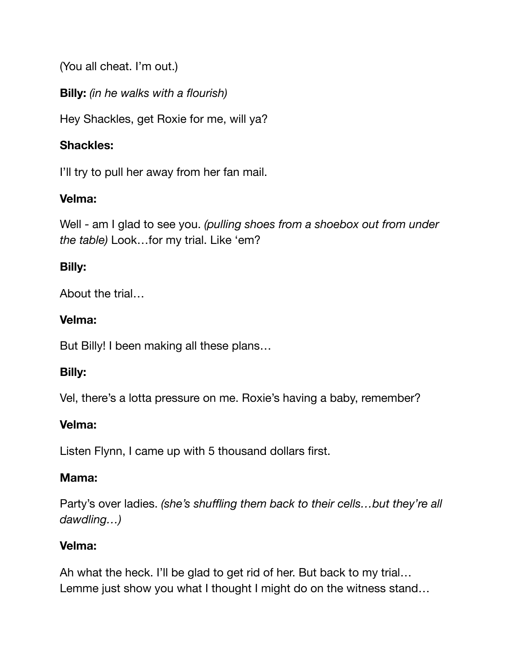(You all cheat. I'm out.)

**Billy:** *(in he walks with a flourish)*

Hey Shackles, get Roxie for me, will ya?

### **Shackles:**

I'll try to pull her away from her fan mail.

### **Velma:**

Well - am I glad to see you. *(pulling shoes from a shoebox out from under the table)* Look…for my trial. Like 'em?

### **Billy:**

About the trial…

#### **Velma:**

But Billy! I been making all these plans…

### **Billy:**

Vel, there's a lotta pressure on me. Roxie's having a baby, remember?

### **Velma:**

Listen Flynn, I came up with 5 thousand dollars first.

#### **Mama:**

Party's over ladies. *(she's shuffling them back to their cells…but they're all dawdling…)* 

### **Velma:**

Ah what the heck. I'll be glad to get rid of her. But back to my trial… Lemme just show you what I thought I might do on the witness stand…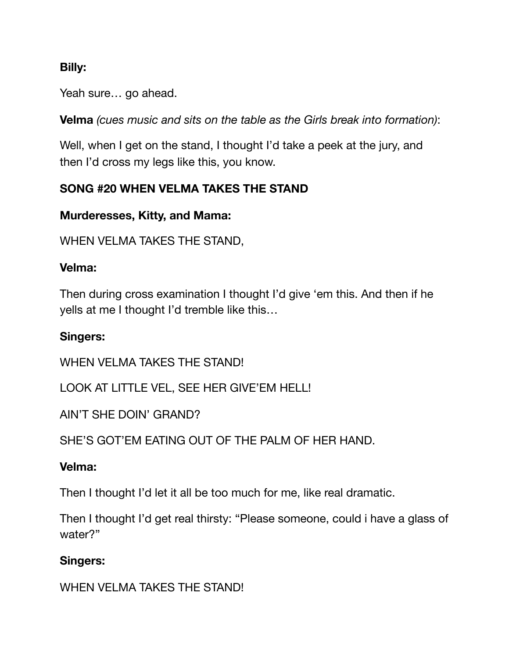### **Billy:**

Yeah sure… go ahead.

**Velma** *(cues music and sits on the table as the Girls break into formation)*:

Well, when I get on the stand, I thought I'd take a peek at the jury, and then I'd cross my legs like this, you know.

# **SONG #20 WHEN VELMA TAKES THE STAND**

### **Murderesses, Kitty, and Mama:**

WHEN VELMA TAKES THE STAND,

### **Velma:**

Then during cross examination I thought I'd give 'em this. And then if he yells at me I thought I'd tremble like this…

### **Singers:**

WHEN VELMA TAKES THE STAND!

LOOK AT LITTLE VEL, SEE HER GIVE'EM HELL!

AIN'T SHE DOIN' GRAND?

SHE'S GOT'EM EATING OUT OF THE PALM OF HER HAND.

### **Velma:**

Then I thought I'd let it all be too much for me, like real dramatic.

Then I thought I'd get real thirsty: "Please someone, could i have a glass of water?"

### **Singers:**

WHEN VELMA TAKES THE STAND!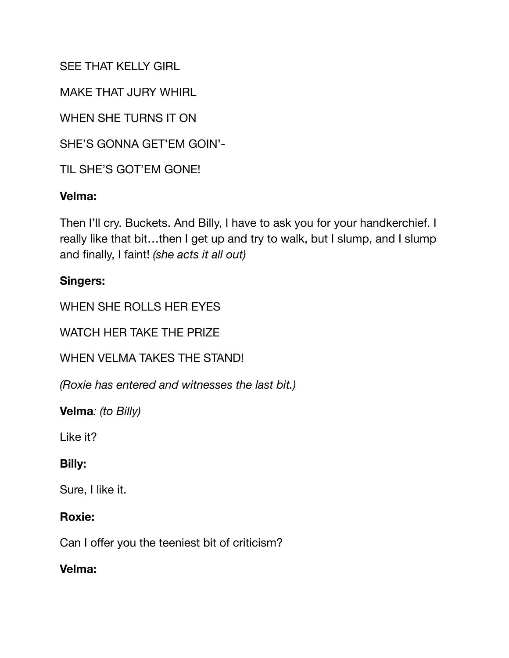SEE THAT KELLY GIRL

MAKE THAT JURY WHIRL

WHEN SHE TURNS IT ON

SHE'S GONNA GET'EM GOIN'-

TIL SHE'S GOT'EM GONE!

#### **Velma:**

Then I'll cry. Buckets. And Billy, I have to ask you for your handkerchief. I really like that bit…then I get up and try to walk, but I slump, and I slump and finally, I faint! *(she acts it all out)*

#### **Singers:**

WHEN SHE ROLLS HER EYES

WATCH HER TAKE THE PRIZE

WHEN VELMA TAKES THE STAND!

*(Roxie has entered and witnesses the last bit.)* 

**Velma***: (to Billy)* 

Like it?

#### **Billy:**

Sure, I like it.

#### **Roxie:**

Can I offer you the teeniest bit of criticism?

#### **Velma:**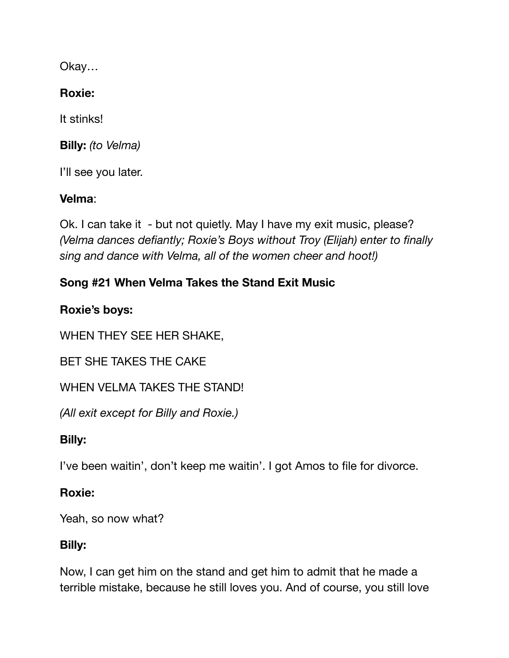Okay…

### **Roxie:**

It stinks!

**Billy:** *(to Velma)*

I'll see you later.

### **Velma**:

Ok. I can take it - but not quietly. May I have my exit music, please? *(Velma dances defiantly; Roxie's Boys without Troy (Elijah) enter to finally sing and dance with Velma, all of the women cheer and hoot!)* 

# **Song #21 When Velma Takes the Stand Exit Music**

### **Roxie's boys:**

WHEN THEY SEE HER SHAKE,

BET SHE TAKES THE CAKE

WHEN VELMA TAKES THE STAND!

*(All exit except for Billy and Roxie.)* 

### **Billy:**

I've been waitin', don't keep me waitin'. I got Amos to file for divorce.

### **Roxie:**

Yeah, so now what?

### **Billy:**

Now, I can get him on the stand and get him to admit that he made a terrible mistake, because he still loves you. And of course, you still love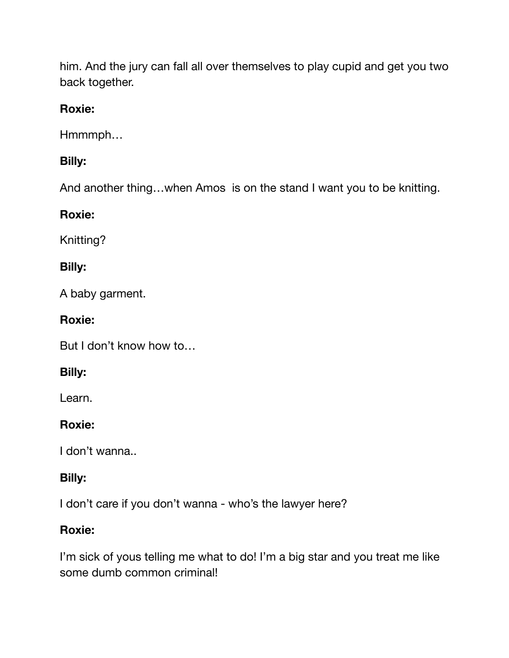him. And the jury can fall all over themselves to play cupid and get you two back together.

# **Roxie:**

Hmmmph…

# **Billy:**

And another thing…when Amos is on the stand I want you to be knitting.

# **Roxie:**

Knitting?

# **Billy:**

A baby garment.

# **Roxie:**

But I don't know how to…

# **Billy:**

Learn.

# **Roxie:**

I don't wanna..

# **Billy:**

I don't care if you don't wanna - who's the lawyer here?

# **Roxie:**

I'm sick of yous telling me what to do! I'm a big star and you treat me like some dumb common criminal!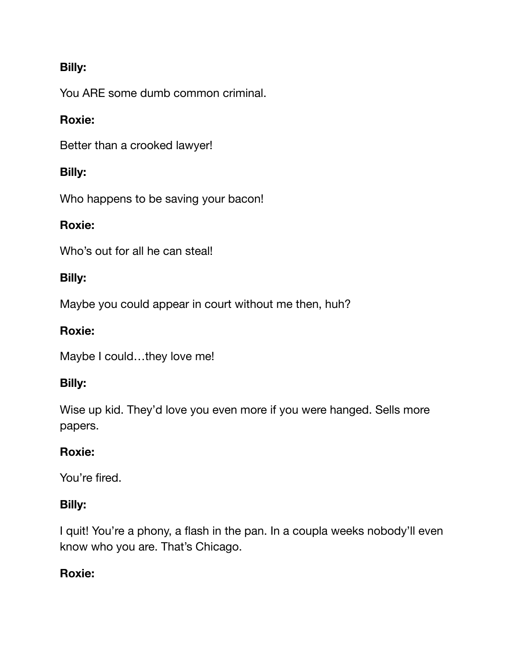### **Billy:**

You ARE some dumb common criminal.

### **Roxie:**

Better than a crooked lawyer!

### **Billy:**

Who happens to be saving your bacon!

### **Roxie:**

Who's out for all he can steal!

### **Billy:**

Maybe you could appear in court without me then, huh?

### **Roxie:**

Maybe I could…they love me!

### **Billy:**

Wise up kid. They'd love you even more if you were hanged. Sells more papers.

### **Roxie:**

You're fired.

### **Billy:**

I quit! You're a phony, a flash in the pan. In a coupla weeks nobody'll even know who you are. That's Chicago.

### **Roxie:**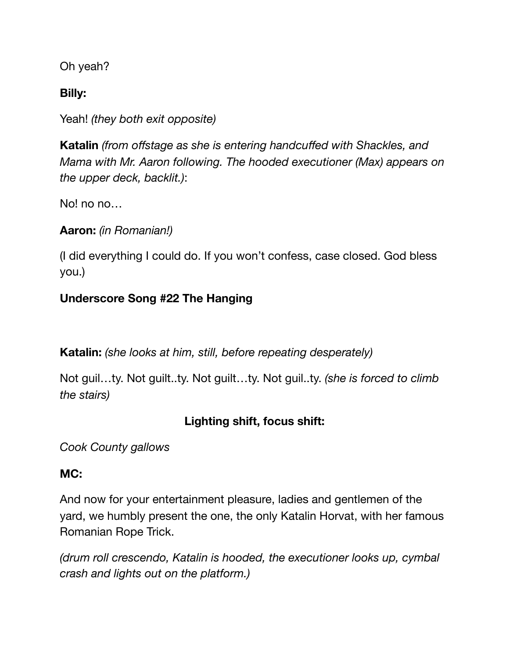Oh yeah?

### **Billy:**

Yeah! *(they both exit opposite)*

**Katalin** *(from offstage as she is entering handcuffed with Shackles, and Mama with Mr. Aaron following. The hooded executioner (Max) appears on the upper deck, backlit.)*:

 $No!$  no no…

**Aaron:** *(in Romanian!)*

(I did everything I could do. If you won't confess, case closed. God bless you.)

# **Underscore Song #22 The Hanging**

**Katalin:** *(she looks at him, still, before repeating desperately)*

Not guil…ty. Not guilt..ty. Not guilt…ty. Not guil..ty. *(she is forced to climb the stairs)*

# **Lighting shift, focus shift:**

*Cook County gallows* 

# **MC:**

And now for your entertainment pleasure, ladies and gentlemen of the yard, we humbly present the one, the only Katalin Horvat, with her famous Romanian Rope Trick.

*(drum roll crescendo, Katalin is hooded, the executioner looks up, cymbal crash and lights out on the platform.)*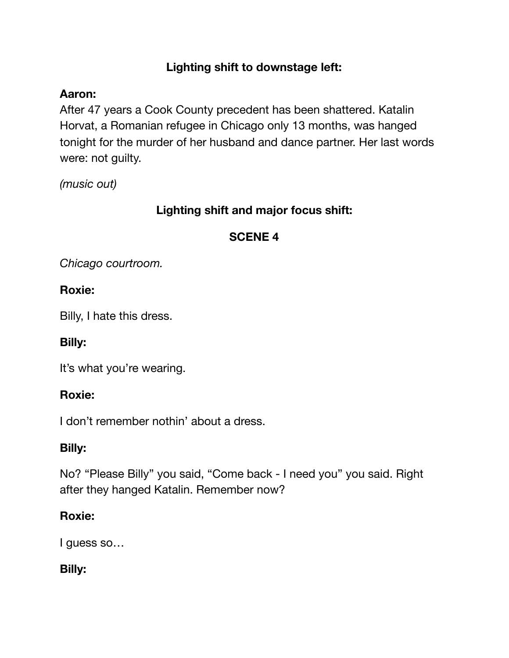### **Lighting shift to downstage left:**

#### **Aaron:**

After 47 years a Cook County precedent has been shattered. Katalin Horvat, a Romanian refugee in Chicago only 13 months, was hanged tonight for the murder of her husband and dance partner. Her last words were: not guilty.

*(music out)* 

### **Lighting shift and major focus shift:**

### **SCENE 4**

*Chicago courtroom.* 

#### **Roxie:**

Billy, I hate this dress.

### **Billy:**

It's what you're wearing.

### **Roxie:**

I don't remember nothin' about a dress.

### **Billy:**

No? "Please Billy" you said, "Come back - I need you" you said. Right after they hanged Katalin. Remember now?

### **Roxie:**

I guess so…

### **Billy:**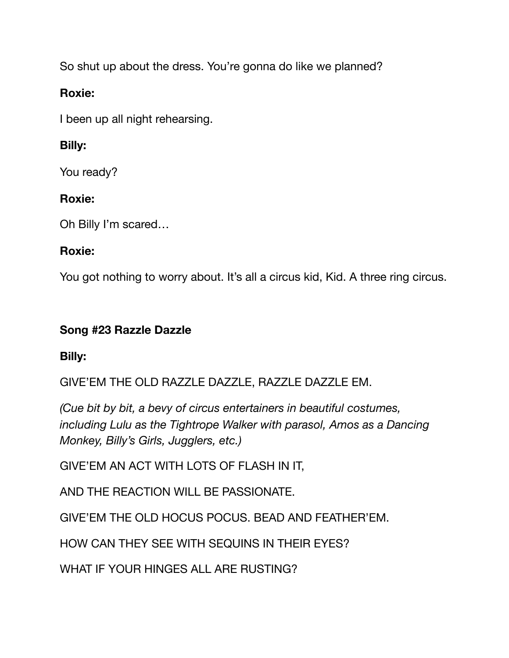So shut up about the dress. You're gonna do like we planned?

### **Roxie:**

I been up all night rehearsing.

### **Billy:**

You ready?

### **Roxie:**

Oh Billy I'm scared…

### **Roxie:**

You got nothing to worry about. It's all a circus kid, Kid. A three ring circus.

### **Song #23 Razzle Dazzle**

### **Billy:**

GIVE'EM THE OLD RAZZLE DAZZLE, RAZZLE DAZZLE EM.

*(Cue bit by bit, a bevy of circus entertainers in beautiful costumes, including Lulu as the Tightrope Walker with parasol, Amos as a Dancing Monkey, Billy's Girls, Jugglers, etc.)* 

GIVE'EM AN ACT WITH LOTS OF FLASH IN IT,

AND THE REACTION WILL BE PASSIONATE.

GIVE'EM THE OLD HOCUS POCUS. BEAD AND FEATHER'EM.

HOW CAN THEY SEE WITH SEQUINS IN THEIR EYES?

WHAT IF YOUR HINGES ALL ARE RUSTING?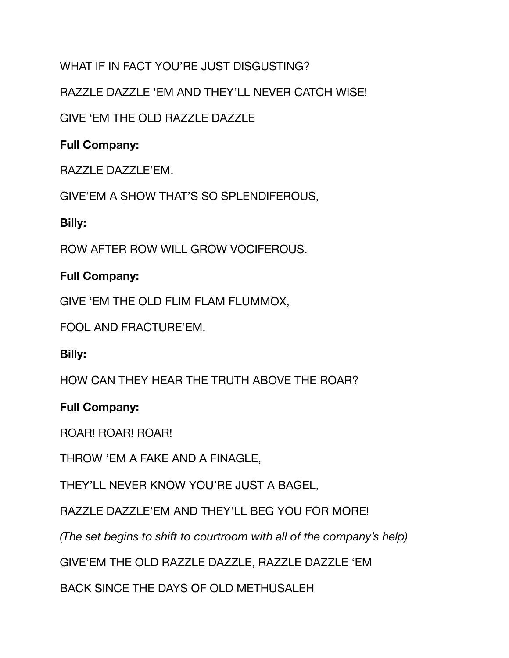WHAT IF IN FACT YOU'RE JUST DISGUSTING?

RAZZLE DAZZLE 'EM AND THEY'LL NEVER CATCH WISE!

GIVE 'EM THE OLD RAZZLE DAZZLE

### **Full Company:**

RAZZLE DAZZLE'EM.

GIVE'EM A SHOW THAT'S SO SPLENDIFEROUS,

### **Billy:**

ROW AFTER ROW WILL GROW VOCIFEROUS.

### **Full Company:**

GIVE 'EM THE OLD FLIM FLAM FLUMMOX,

FOOL AND FRACTURE'EM.

### **Billy:**

HOW CAN THEY HEAR THE TRUTH ABOVE THE ROAR?

### **Full Company:**

ROAR! ROAR! ROAR!

THROW 'EM A FAKE AND A FINAGLE,

THEY'LL NEVER KNOW YOU'RE JUST A BAGEL,

RAZZLE DAZZLE'EM AND THEY'LL BEG YOU FOR MORE!

*(The set begins to shift to courtroom with all of the company's help)* 

GIVE'EM THE OLD RAZZLE DAZZLE, RAZZLE DAZZLE 'EM

BACK SINCE THE DAYS OF OLD METHUSALEH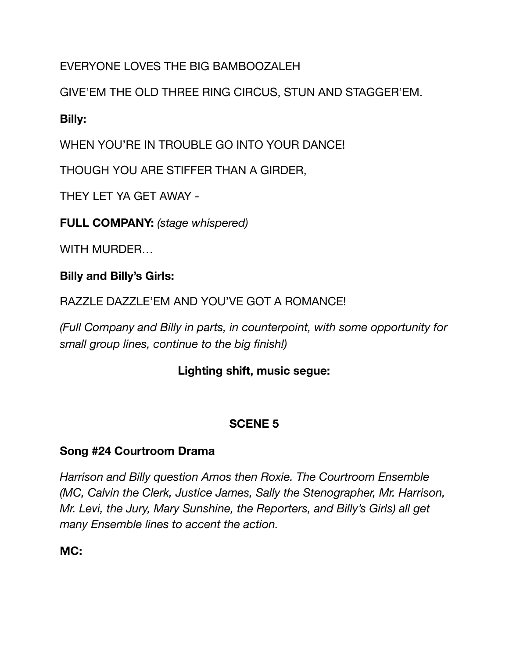### EVERYONE LOVES THE BIG BAMBOOZALEH

GIVE'EM THE OLD THREE RING CIRCUS, STUN AND STAGGER'EM.

### **Billy:**

WHEN YOU'RE IN TROUBLE GO INTO YOUR DANCE!

THOUGH YOU ARE STIFFER THAN A GIRDER,

THEY LET YA GET AWAY -

**FULL COMPANY:** *(stage whispered)*

WITH MURDER…

**Billy and Billy's Girls:** 

RAZZLE DAZZLE'EM AND YOU'VE GOT A ROMANCE!

*(Full Company and Billy in parts, in counterpoint, with some opportunity for small group lines, continue to the big finish!)* 

### **Lighting shift, music segue:**

### **SCENE 5**

### **Song #24 Courtroom Drama**

*Harrison and Billy question Amos then Roxie. The Courtroom Ensemble (MC, Calvin the Clerk, Justice James, Sally the Stenographer, Mr. Harrison, Mr. Levi, the Jury, Mary Sunshine, the Reporters, and Billy's Girls) all get many Ensemble lines to accent the action.* 

**MC:**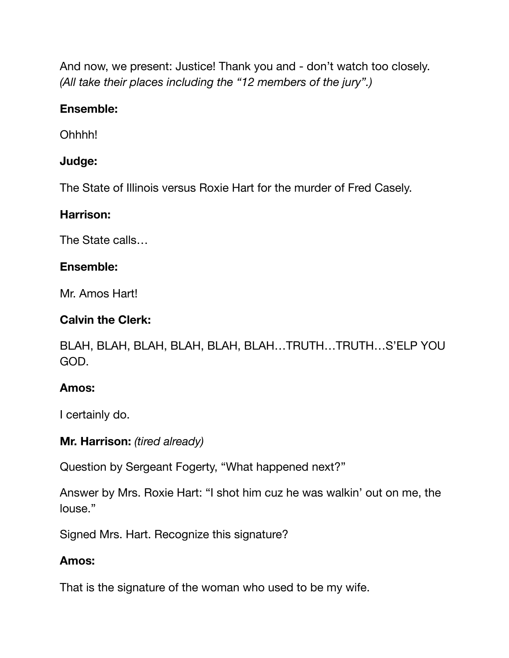And now, we present: Justice! Thank you and - don't watch too closely. *(All take their places including the "12 members of the jury".)*

### **Ensemble:**

Ohhhh!

### **Judge:**

The State of Illinois versus Roxie Hart for the murder of Fred Casely.

### **Harrison:**

The State calls…

### **Ensemble:**

Mr. Amos Hart!

# **Calvin the Clerk:**

BLAH, BLAH, BLAH, BLAH, BLAH, BLAH…TRUTH…TRUTH…S'ELP YOU GOD.

# **Amos:**

I certainly do.

### **Mr. Harrison:** *(tired already)*

Question by Sergeant Fogerty, "What happened next?"

Answer by Mrs. Roxie Hart: "I shot him cuz he was walkin' out on me, the louse."

Signed Mrs. Hart. Recognize this signature?

# **Amos:**

That is the signature of the woman who used to be my wife.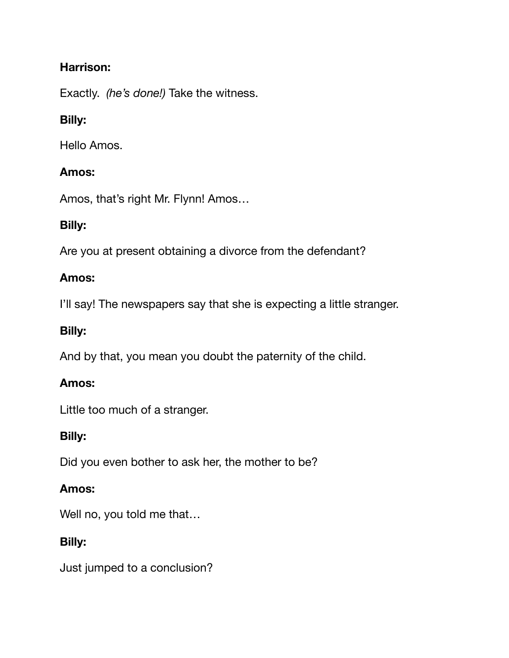### **Harrison:**

Exactly. *(he's done!)* Take the witness.

### **Billy:**

Hello Amos.

### **Amos:**

Amos, that's right Mr. Flynn! Amos…

# **Billy:**

Are you at present obtaining a divorce from the defendant?

### **Amos:**

I'll say! The newspapers say that she is expecting a little stranger.

### **Billy:**

And by that, you mean you doubt the paternity of the child.

### **Amos:**

Little too much of a stranger.

### **Billy:**

Did you even bother to ask her, the mother to be?

### **Amos:**

Well no, you told me that…

### **Billy:**

Just jumped to a conclusion?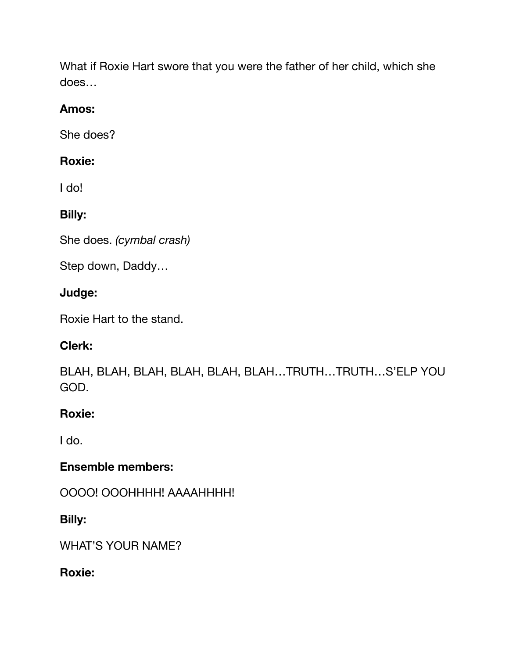What if Roxie Hart swore that you were the father of her child, which she does…

### **Amos:**

She does?

# **Roxie:**

I do!

# **Billy:**

She does. *(cymbal crash)* 

Step down, Daddy…

# **Judge:**

Roxie Hart to the stand.

# **Clerk:**

BLAH, BLAH, BLAH, BLAH, BLAH, BLAH…TRUTH…TRUTH…S'ELP YOU GOD.

# **Roxie:**

I do.

# **Ensemble members:**

OOOO! OOOHHHH! AAAAHHHH!

# **Billy:**

WHAT'S YOUR NAME?

### **Roxie:**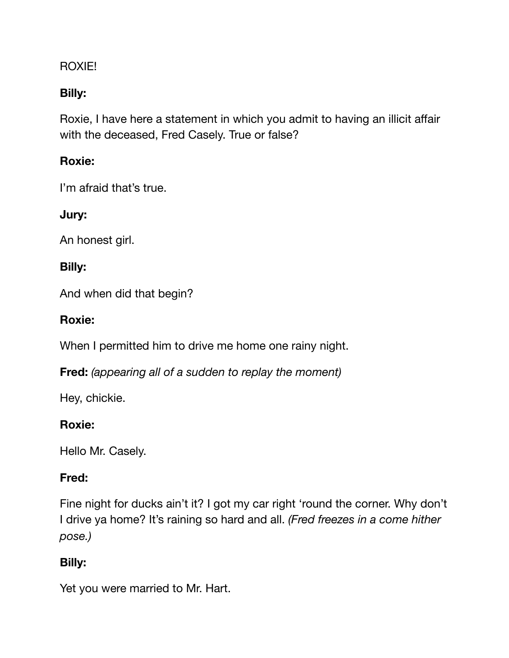### ROXIE!

### **Billy:**

Roxie, I have here a statement in which you admit to having an illicit affair with the deceased, Fred Casely. True or false?

### **Roxie:**

I'm afraid that's true.

### **Jury:**

An honest girl.

### **Billy:**

And when did that begin?

### **Roxie:**

When I permitted him to drive me home one rainy night.

**Fred:** *(appearing all of a sudden to replay the moment)*

Hey, chickie.

### **Roxie:**

Hello Mr. Casely.

### **Fred:**

Fine night for ducks ain't it? I got my car right 'round the corner. Why don't I drive ya home? It's raining so hard and all. *(Fred freezes in a come hither pose.)*

### **Billy:**

Yet you were married to Mr. Hart.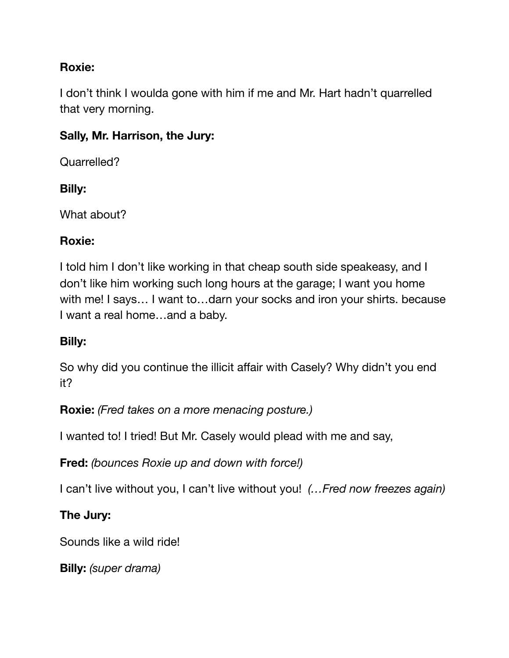### **Roxie:**

I don't think I woulda gone with him if me and Mr. Hart hadn't quarrelled that very morning.

### **Sally, Mr. Harrison, the Jury:**

Quarrelled?

### **Billy:**

What about?

### **Roxie:**

I told him I don't like working in that cheap south side speakeasy, and I don't like him working such long hours at the garage; I want you home with me! I says... I want to...darn your socks and iron your shirts. because I want a real home…and a baby.

### **Billy:**

So why did you continue the illicit affair with Casely? Why didn't you end it?

**Roxie:** *(Fred takes on a more menacing posture.)*

I wanted to! I tried! But Mr. Casely would plead with me and say,

**Fred:** *(bounces Roxie up and down with force!)*

I can't live without you, I can't live without you! *(…Fred now freezes again)*

### **The Jury:**

Sounds like a wild ride!

**Billy:** *(super drama)*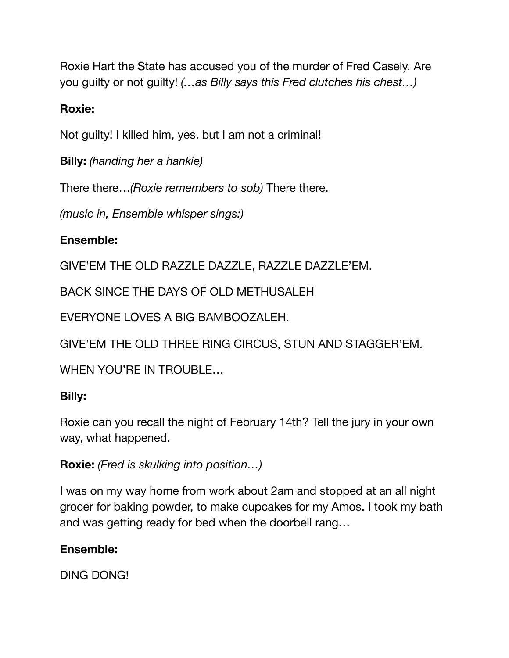Roxie Hart the State has accused you of the murder of Fred Casely. Are you guilty or not guilty! *(…as Billy says this Fred clutches his chest…)*

# **Roxie:**

Not guilty! I killed him, yes, but I am not a criminal!

**Billy:** *(handing her a hankie)*

There there…*(Roxie remembers to sob)* There there.

*(music in, Ensemble whisper sings:)* 

### **Ensemble:**

GIVE'EM THE OLD RAZZLE DAZZLE, RAZZLE DAZZLE'EM.

BACK SINCE THE DAYS OF OLD METHUSALEH

EVERYONE LOVES A BIG BAMBOOZALEH.

GIVE'EM THE OLD THREE RING CIRCUS, STUN AND STAGGER'EM.

WHEN YOU'RE IN TROUBLE…

### **Billy:**

Roxie can you recall the night of February 14th? Tell the jury in your own way, what happened.

**Roxie:** *(Fred is skulking into position…)*

I was on my way home from work about 2am and stopped at an all night grocer for baking powder, to make cupcakes for my Amos. I took my bath and was getting ready for bed when the doorbell rang…

### **Ensemble:**

DING DONG!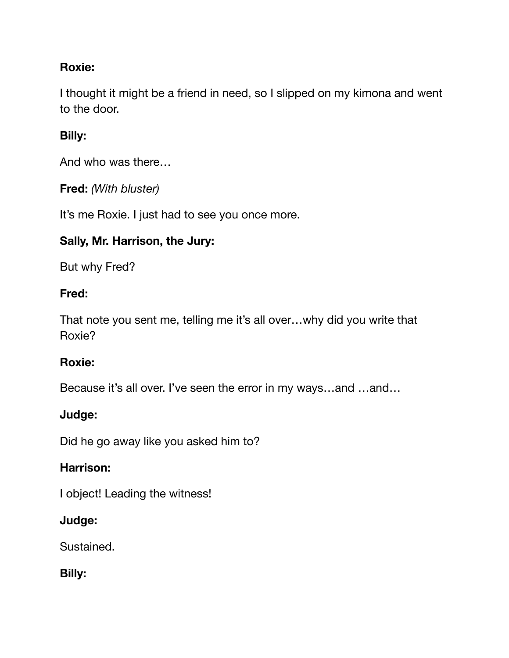### **Roxie:**

I thought it might be a friend in need, so I slipped on my kimona and went to the door.

### **Billy:**

And who was there…

**Fred:** *(With bluster)*

It's me Roxie. I just had to see you once more.

### **Sally, Mr. Harrison, the Jury:**

But why Fred?

### **Fred:**

That note you sent me, telling me it's all over…why did you write that Roxie?

### **Roxie:**

Because it's all over. I've seen the error in my ways…and …and…

### **Judge:**

Did he go away like you asked him to?

### **Harrison:**

I object! Leading the witness!

### **Judge:**

Sustained.

### **Billy:**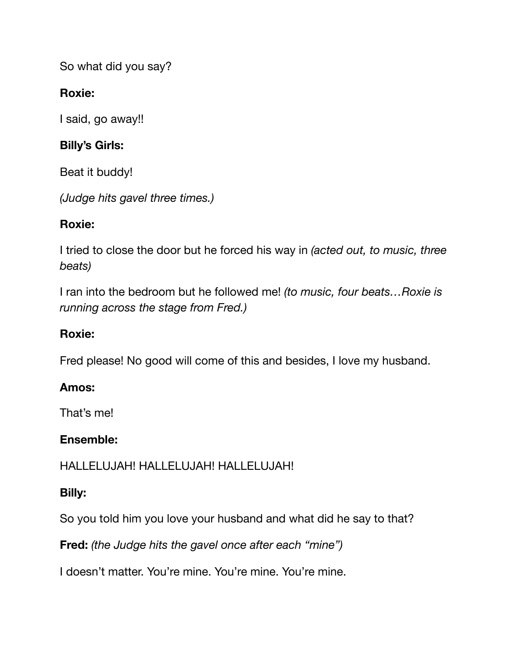So what did you say?

## **Roxie:**

I said, go away!!

# **Billy's Girls:**

Beat it buddy!

*(Judge hits gavel three times.)* 

# **Roxie:**

I tried to close the door but he forced his way in *(acted out, to music, three beats)*

I ran into the bedroom but he followed me! *(to music, four beats…Roxie is running across the stage from Fred.)* 

# **Roxie:**

Fred please! No good will come of this and besides, I love my husband.

# **Amos:**

That's me!

## **Ensemble:**

HALLELUJAH! HALLELUJAH! HALLELUJAH!

# **Billy:**

So you told him you love your husband and what did he say to that?

**Fred:** *(the Judge hits the gavel once after each "mine")*

I doesn't matter. You're mine. You're mine. You're mine.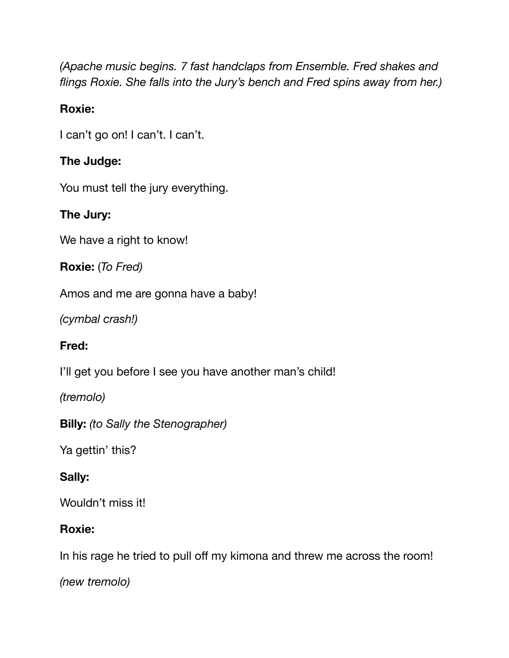*(Apache music begins. 7 fast handclaps from Ensemble. Fred shakes and flings Roxie. She falls into the Jury's bench and Fred spins away from her.)* 

## **Roxie:**

I can't go on! I can't. I can't.

# **The Judge:**

You must tell the jury everything.

## **The Jury:**

We have a right to know!

**Roxie:** (*To Fred)*

Amos and me are gonna have a baby!

*(cymbal crash!)* 

## **Fred:**

I'll get you before I see you have another man's child!

*(tremolo)* 

**Billy:** *(to Sally the Stenographer)* 

Ya gettin' this?

# **Sally:**

Wouldn't miss it!

# **Roxie:**

In his rage he tried to pull off my kimona and threw me across the room!

*(new tremolo)*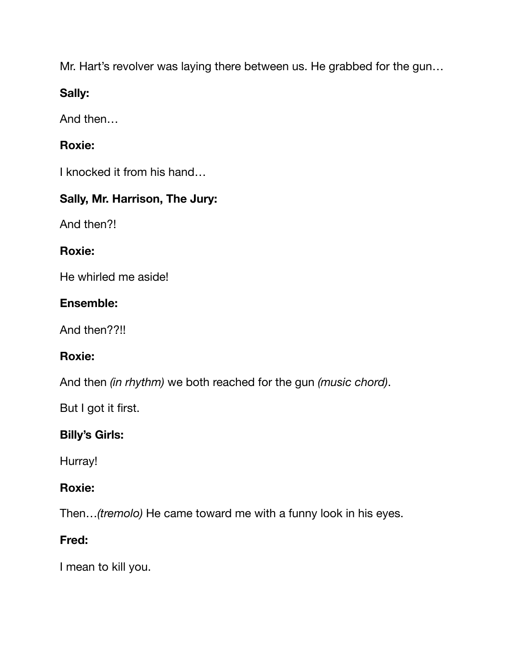Mr. Hart's revolver was laying there between us. He grabbed for the gun…

### **Sally:**

And then…

# **Roxie:**

I knocked it from his hand…

## **Sally, Mr. Harrison, The Jury:**

And then?!

## **Roxie:**

He whirled me aside!

## **Ensemble:**

And then??!!

# **Roxie:**

And then *(in rhythm)* we both reached for the gun *(music chord)*.

But I got it first.

# **Billy's Girls:**

Hurray!

# **Roxie:**

Then…*(tremolo)* He came toward me with a funny look in his eyes.

# **Fred:**

I mean to kill you.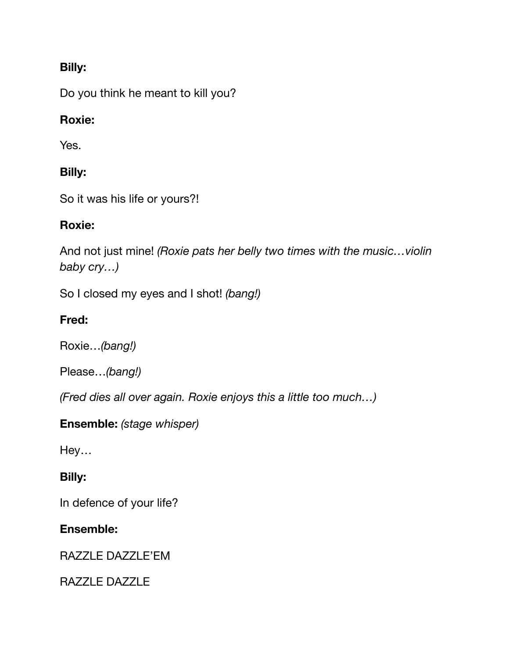## **Billy:**

Do you think he meant to kill you?

## **Roxie:**

Yes.

## **Billy:**

So it was his life or yours?!

## **Roxie:**

And not just mine! *(Roxie pats her belly two times with the music…violin baby cry…)* 

So I closed my eyes and I shot! *(bang!)*

## **Fred:**

Roxie…*(bang!)* 

Please…*(bang!)* 

*(Fred dies all over again. Roxie enjoys this a little too much…)* 

**Ensemble:** *(stage whisper)* 

Hey…

## **Billy:**

In defence of your life?

#### **Ensemble:**

RAZZLE DAZZLE'EM

RAZZLE DAZZLE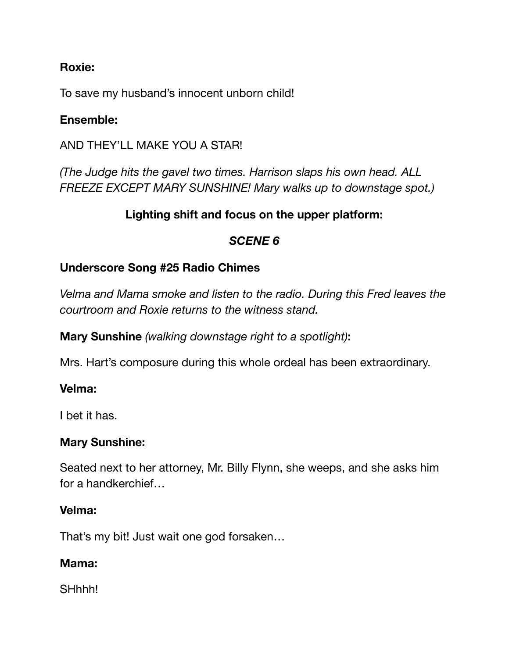### **Roxie:**

To save my husband's innocent unborn child!

#### **Ensemble:**

AND THEY'LL MAKE YOU A STAR!

*(The Judge hits the gavel two times. Harrison slaps his own head. ALL FREEZE EXCEPT MARY SUNSHINE! Mary walks up to downstage spot.)* 

## **Lighting shift and focus on the upper platform:**

## *SCENE 6*

## **Underscore Song #25 Radio Chimes**

*Velma and Mama smoke and listen to the radio. During this Fred leaves the courtroom and Roxie returns to the witness stand.* 

**Mary Sunshine** *(walking downstage right to a spotlight)***:**

Mrs. Hart's composure during this whole ordeal has been extraordinary.

#### **Velma:**

I bet it has.

#### **Mary Sunshine:**

Seated next to her attorney, Mr. Billy Flynn, she weeps, and she asks him for a handkerchief…

#### **Velma:**

That's my bit! Just wait one god forsaken…

#### **Mama:**

SHhhh!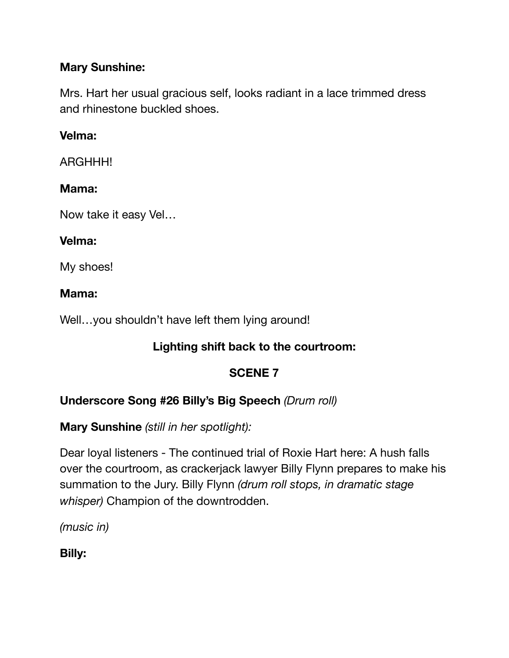## **Mary Sunshine:**

Mrs. Hart her usual gracious self, looks radiant in a lace trimmed dress and rhinestone buckled shoes.

#### **Velma:**

ARGHHH!

#### **Mama:**

Now take it easy Vel…

#### **Velma:**

My shoes!

#### **Mama:**

Well...you shouldn't have left them lying around!

# **Lighting shift back to the courtroom:**

## **SCENE 7**

## **Underscore Song #26 Billy's Big Speech** *(Drum roll)*

## **Mary Sunshine** *(still in her spotlight):*

Dear loyal listeners - The continued trial of Roxie Hart here: A hush falls over the courtroom, as crackerjack lawyer Billy Flynn prepares to make his summation to the Jury. Billy Flynn *(drum roll stops, in dramatic stage whisper)* Champion of the downtrodden.

*(music in)* 

**Billy:**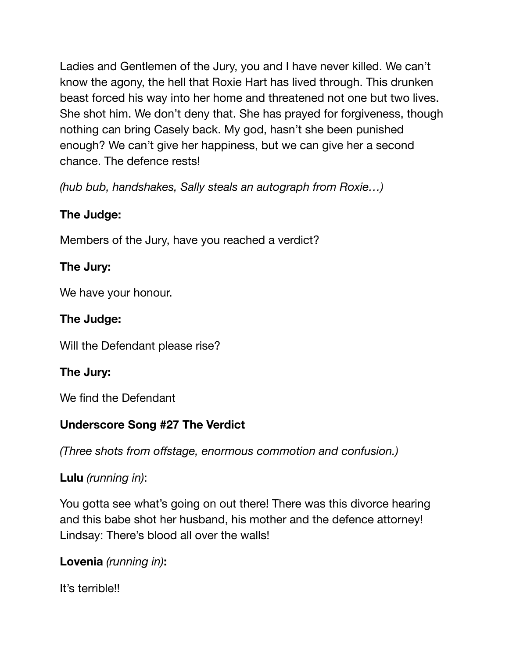Ladies and Gentlemen of the Jury, you and I have never killed. We can't know the agony, the hell that Roxie Hart has lived through. This drunken beast forced his way into her home and threatened not one but two lives. She shot him. We don't deny that. She has prayed for forgiveness, though nothing can bring Casely back. My god, hasn't she been punished enough? We can't give her happiness, but we can give her a second chance. The defence rests!

*(hub bub, handshakes, Sally steals an autograph from Roxie…)* 

## **The Judge:**

Members of the Jury, have you reached a verdict?

## **The Jury:**

We have your honour.

## **The Judge:**

Will the Defendant please rise?

#### **The Jury:**

We find the Defendant

## **Underscore Song #27 The Verdict**

*(Three shots from offstage, enormous commotion and confusion.)* 

#### **Lulu** *(running in)*:

You gotta see what's going on out there! There was this divorce hearing and this babe shot her husband, his mother and the defence attorney! Lindsay: There's blood all over the walls!

#### **Lovenia** *(running in)***:**

It's terrible!!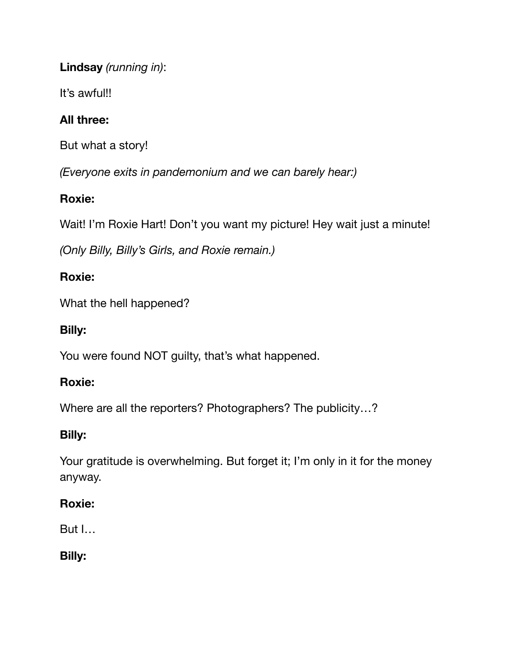**Lindsay** *(running in)*:

It's awful!!

## **All three:**

But what a story!

*(Everyone exits in pandemonium and we can barely hear:)* 

# **Roxie:**

Wait! I'm Roxie Hart! Don't you want my picture! Hey wait just a minute!

*(Only Billy, Billy's Girls, and Roxie remain.)* 

## **Roxie:**

What the hell happened?

# **Billy:**

You were found NOT guilty, that's what happened.

# **Roxie:**

Where are all the reporters? Photographers? The publicity…?

# **Billy:**

Your gratitude is overwhelming. But forget it; I'm only in it for the money anyway.

# **Roxie:**

But I…

**Billy:**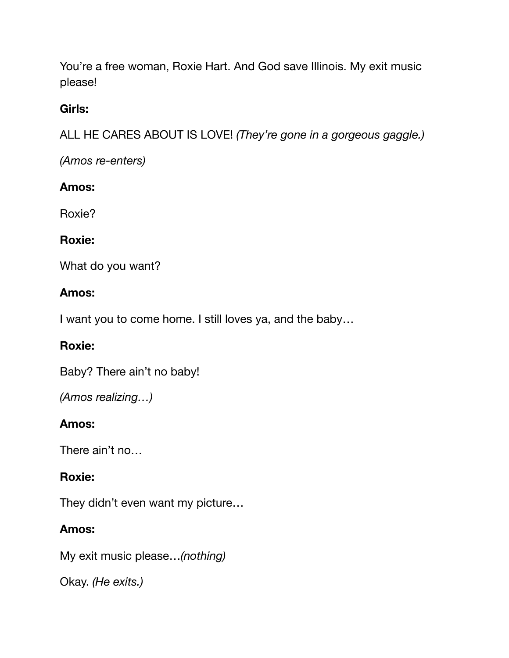You're a free woman, Roxie Hart. And God save Illinois. My exit music please!

## **Girls:**

ALL HE CARES ABOUT IS LOVE! *(They're gone in a gorgeous gaggle.)* 

*(Amos re-enters)*

## **Amos:**

Roxie?

# **Roxie:**

What do you want?

## **Amos:**

I want you to come home. I still loves ya, and the baby…

# **Roxie:**

Baby? There ain't no baby!

*(Amos realizing…)* 

# **Amos:**

There ain't no…

# **Roxie:**

They didn't even want my picture…

# **Amos:**

My exit music please…*(nothing)* 

Okay. *(He exits.)*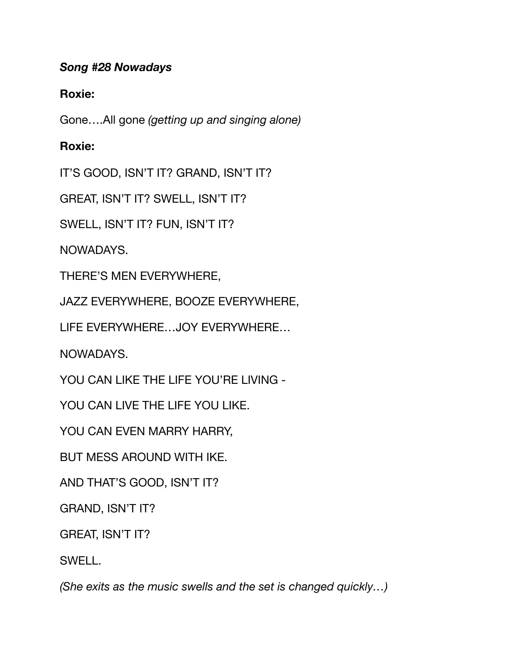#### *Song #28 Nowadays*

#### **Roxie:**

Gone….All gone *(getting up and singing alone)*

### **Roxie:**

IT'S GOOD, ISN'T IT? GRAND, ISN'T IT?

GREAT, ISN'T IT? SWELL, ISN'T IT?

SWELL, ISN'T IT? FUN, ISN'T IT?

NOWADAYS.

THERE'S MEN EVERYWHERE,

JAZZ EVERYWHERE, BOOZE EVERYWHERE,

LIFE EVERYWHERE…JOY EVERYWHERE…

NOWADAYS.

YOU CAN LIKE THE LIFE YOU'RE LIVING -

YOU CAN LIVE THE LIFE YOU LIKE.

YOU CAN EVEN MARRY HARRY,

BUT MESS AROUND WITH IKE.

AND THAT'S GOOD, ISN'T IT?

GRAND, ISN'T IT?

GREAT, ISN'T IT?

SWELL.

*(She exits as the music swells and the set is changed quickly…)*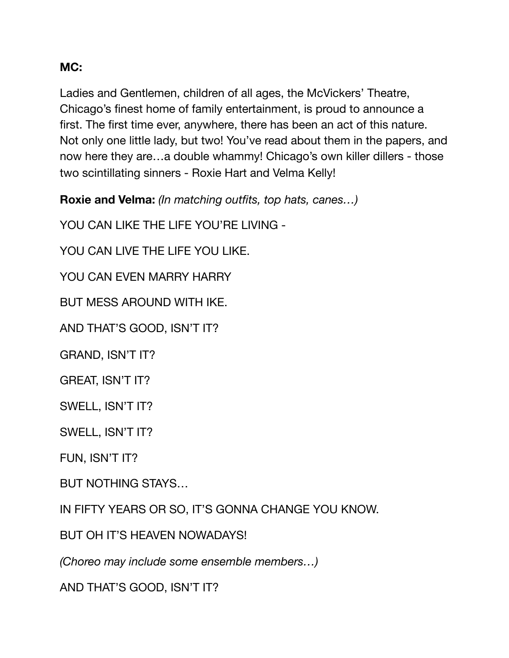#### **MC:**

Ladies and Gentlemen, children of all ages, the McVickers' Theatre, Chicago's finest home of family entertainment, is proud to announce a first. The first time ever, anywhere, there has been an act of this nature. Not only one little lady, but two! You've read about them in the papers, and now here they are…a double whammy! Chicago's own killer dillers - those two scintillating sinners - Roxie Hart and Velma Kelly!

**Roxie and Velma:** *(In matching outfits, top hats, canes…)*

YOU CAN LIKE THE LIFE YOU'RE LIVING -

YOU CAN LIVE THE LIFE YOU LIKE.

YOU CAN EVEN MARRY HARRY

BUT MESS AROUND WITH IKE.

AND THAT'S GOOD, ISN'T IT?

GRAND, ISN'T IT?

GREAT, ISN'T IT?

SWELL, ISN'T IT?

SWELL, ISN'T IT?

FUN, ISN'T IT?

BUT NOTHING STAYS…

IN FIFTY YEARS OR SO, IT'S GONNA CHANGE YOU KNOW.

BUT OH IT'S HEAVEN NOWADAYS!

*(Choreo may include some ensemble members…)* 

AND THAT'S GOOD, ISN'T IT?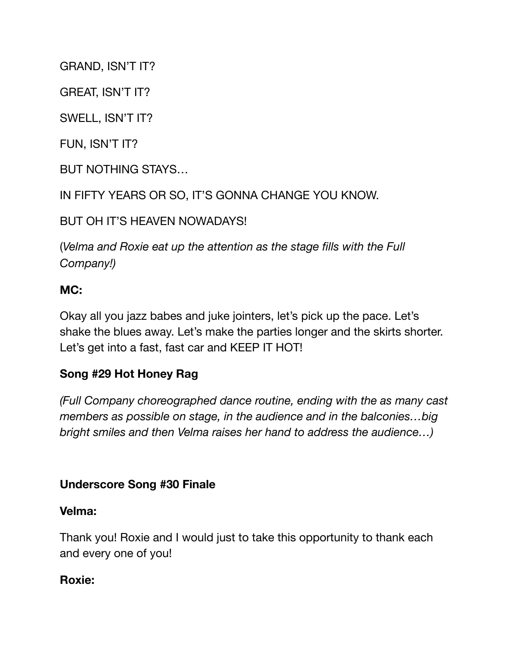GRAND, ISN'T IT?

GREAT, ISN'T IT?

SWELL, ISN'T IT?

FUN, ISN'T IT?

BUT NOTHING STAYS…

IN FIFTY YEARS OR SO, IT'S GONNA CHANGE YOU KNOW.

BUT OH IT'S HEAVEN NOWADAYS!

(*Velma and Roxie eat up the attention as the stage fills with the Full Company!)*

#### **MC:**

Okay all you jazz babes and juke jointers, let's pick up the pace. Let's shake the blues away. Let's make the parties longer and the skirts shorter. Let's get into a fast, fast car and KEEP IT HOT!

#### **Song #29 Hot Honey Rag**

*(Full Company choreographed dance routine, ending with the as many cast members as possible on stage, in the audience and in the balconies…big bright smiles and then Velma raises her hand to address the audience…)* 

#### **Underscore Song #30 Finale**

#### **Velma:**

Thank you! Roxie and I would just to take this opportunity to thank each and every one of you!

#### **Roxie:**